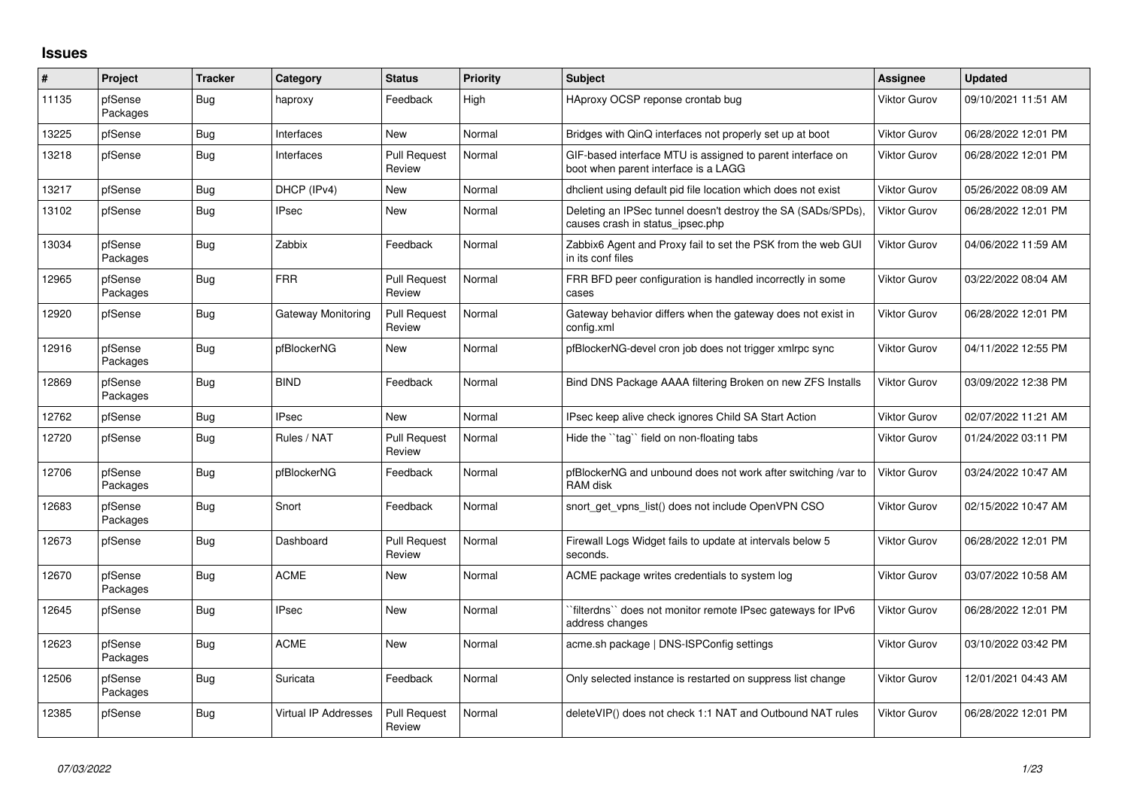## **Issues**

| #     | Project             | <b>Tracker</b> | Category                    | <b>Status</b>                 | <b>Priority</b> | <b>Subject</b>                                                                                     | Assignee     | <b>Updated</b>      |
|-------|---------------------|----------------|-----------------------------|-------------------------------|-----------------|----------------------------------------------------------------------------------------------------|--------------|---------------------|
| 11135 | pfSense<br>Packages | Bug            | haproxy                     | Feedback                      | High            | HAproxy OCSP reponse crontab bug                                                                   | Viktor Gurov | 09/10/2021 11:51 AM |
| 13225 | pfSense             | Bug            | Interfaces                  | New                           | Normal          | Bridges with QinQ interfaces not properly set up at boot                                           | Viktor Gurov | 06/28/2022 12:01 PM |
| 13218 | pfSense             | <b>Bug</b>     | Interfaces                  | <b>Pull Request</b><br>Review | Normal          | GIF-based interface MTU is assigned to parent interface on<br>boot when parent interface is a LAGG | Viktor Gurov | 06/28/2022 12:01 PM |
| 13217 | pfSense             | Bug            | DHCP (IPv4)                 | New                           | Normal          | dhclient using default pid file location which does not exist                                      | Viktor Gurov | 05/26/2022 08:09 AM |
| 13102 | pfSense             | <b>Bug</b>     | <b>IPsec</b>                | <b>New</b>                    | Normal          | Deleting an IPSec tunnel doesn't destroy the SA (SADs/SPDs),<br>causes crash in status ipsec.php   | Viktor Gurov | 06/28/2022 12:01 PM |
| 13034 | pfSense<br>Packages | Bug            | Zabbix                      | Feedback                      | Normal          | Zabbix6 Agent and Proxy fail to set the PSK from the web GUI<br>in its conf files                  | Viktor Gurov | 04/06/2022 11:59 AM |
| 12965 | pfSense<br>Packages | Bug            | <b>FRR</b>                  | <b>Pull Request</b><br>Review | Normal          | FRR BFD peer configuration is handled incorrectly in some<br>cases                                 | Viktor Gurov | 03/22/2022 08:04 AM |
| 12920 | pfSense             | Bug            | Gateway Monitoring          | <b>Pull Request</b><br>Review | Normal          | Gateway behavior differs when the gateway does not exist in<br>config.xml                          | Viktor Gurov | 06/28/2022 12:01 PM |
| 12916 | pfSense<br>Packages | <b>Bug</b>     | pfBlockerNG                 | <b>New</b>                    | Normal          | pfBlockerNG-devel cron job does not trigger xmlrpc sync                                            | Viktor Gurov | 04/11/2022 12:55 PM |
| 12869 | pfSense<br>Packages | <b>Bug</b>     | <b>BIND</b>                 | Feedback                      | Normal          | Bind DNS Package AAAA filtering Broken on new ZFS Installs                                         | Viktor Gurov | 03/09/2022 12:38 PM |
| 12762 | pfSense             | <b>Bug</b>     | <b>IPsec</b>                | <b>New</b>                    | Normal          | IPsec keep alive check ignores Child SA Start Action                                               | Viktor Gurov | 02/07/2022 11:21 AM |
| 12720 | pfSense             | <b>Bug</b>     | Rules / NAT                 | <b>Pull Request</b><br>Review | Normal          | Hide the "tag" field on non-floating tabs                                                          | Viktor Gurov | 01/24/2022 03:11 PM |
| 12706 | pfSense<br>Packages | Bug            | pfBlockerNG                 | Feedback                      | Normal          | pfBlockerNG and unbound does not work after switching /var to<br>RAM disk                          | Viktor Gurov | 03/24/2022 10:47 AM |
| 12683 | pfSense<br>Packages | <b>Bug</b>     | Snort                       | Feedback                      | Normal          | snort get vpns list() does not include OpenVPN CSO                                                 | Viktor Gurov | 02/15/2022 10:47 AM |
| 12673 | pfSense             | Bug            | Dashboard                   | <b>Pull Request</b><br>Review | Normal          | Firewall Logs Widget fails to update at intervals below 5<br>seconds.                              | Viktor Gurov | 06/28/2022 12:01 PM |
| 12670 | pfSense<br>Packages | <b>Bug</b>     | <b>ACME</b>                 | New                           | Normal          | ACME package writes credentials to system log                                                      | Viktor Gurov | 03/07/2022 10:58 AM |
| 12645 | pfSense             | Bug            | <b>IPsec</b>                | <b>New</b>                    | Normal          | `filterdns`` does not monitor remote IPsec gateways for IPv6<br>address changes                    | Viktor Gurov | 06/28/2022 12:01 PM |
| 12623 | pfSense<br>Packages | <b>Bug</b>     | <b>ACME</b>                 | New                           | Normal          | acme.sh package   DNS-ISPConfig settings                                                           | Viktor Gurov | 03/10/2022 03:42 PM |
| 12506 | pfSense<br>Packages | Bug            | Suricata                    | Feedback                      | Normal          | Only selected instance is restarted on suppress list change                                        | Viktor Gurov | 12/01/2021 04:43 AM |
| 12385 | pfSense             | <b>Bug</b>     | <b>Virtual IP Addresses</b> | <b>Pull Request</b><br>Review | Normal          | deleteVIP() does not check 1:1 NAT and Outbound NAT rules                                          | Viktor Gurov | 06/28/2022 12:01 PM |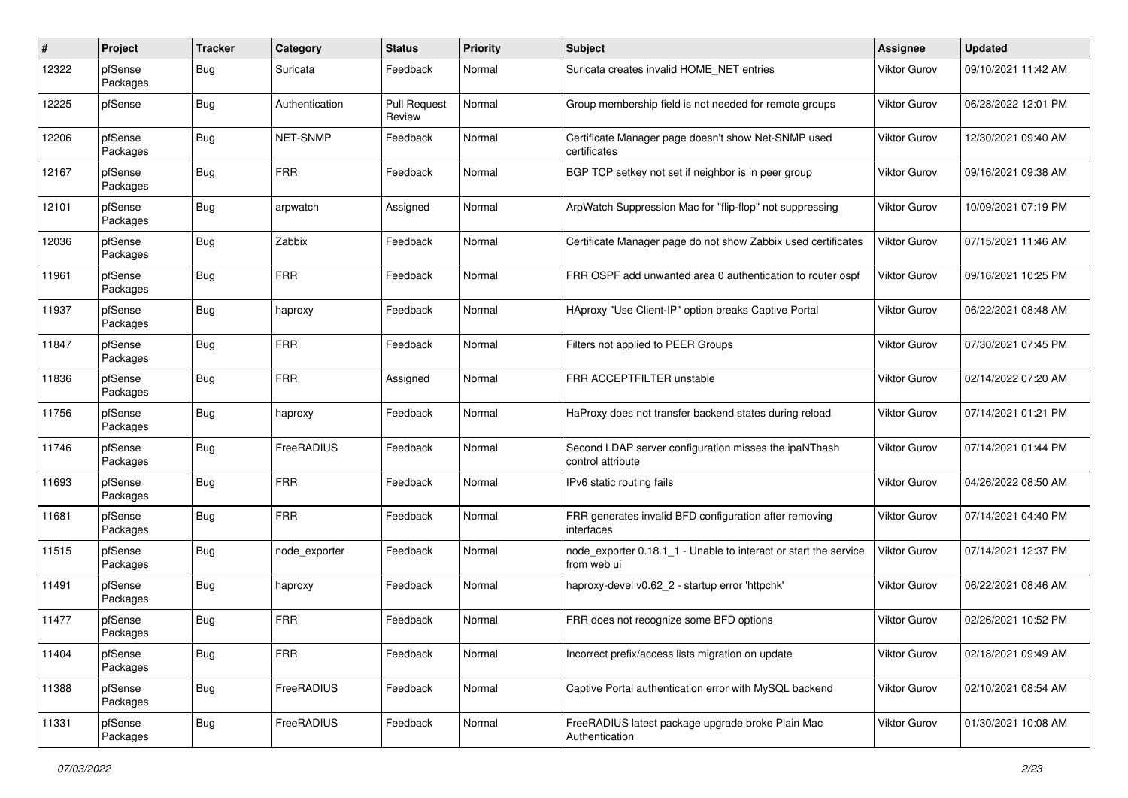| #     | Project             | <b>Tracker</b> | Category       | <b>Status</b>                 | <b>Priority</b> | <b>Subject</b>                                                                  | <b>Assignee</b>     | <b>Updated</b>      |
|-------|---------------------|----------------|----------------|-------------------------------|-----------------|---------------------------------------------------------------------------------|---------------------|---------------------|
| 12322 | pfSense<br>Packages | <b>Bug</b>     | Suricata       | Feedback                      | Normal          | Suricata creates invalid HOME_NET entries                                       | Viktor Gurov        | 09/10/2021 11:42 AM |
| 12225 | pfSense             | <b>Bug</b>     | Authentication | <b>Pull Request</b><br>Review | Normal          | Group membership field is not needed for remote groups                          | Viktor Gurov        | 06/28/2022 12:01 PM |
| 12206 | pfSense<br>Packages | <b>Bug</b>     | NET-SNMP       | Feedback                      | Normal          | Certificate Manager page doesn't show Net-SNMP used<br>certificates             | <b>Viktor Gurov</b> | 12/30/2021 09:40 AM |
| 12167 | pfSense<br>Packages | <b>Bug</b>     | <b>FRR</b>     | Feedback                      | Normal          | BGP TCP setkey not set if neighbor is in peer group                             | Viktor Gurov        | 09/16/2021 09:38 AM |
| 12101 | pfSense<br>Packages | <b>Bug</b>     | arpwatch       | Assigned                      | Normal          | ArpWatch Suppression Mac for "flip-flop" not suppressing                        | <b>Viktor Gurov</b> | 10/09/2021 07:19 PM |
| 12036 | pfSense<br>Packages | Bug            | Zabbix         | Feedback                      | Normal          | Certificate Manager page do not show Zabbix used certificates                   | <b>Viktor Gurov</b> | 07/15/2021 11:46 AM |
| 11961 | pfSense<br>Packages | <b>Bug</b>     | <b>FRR</b>     | Feedback                      | Normal          | FRR OSPF add unwanted area 0 authentication to router ospf                      | Viktor Gurov        | 09/16/2021 10:25 PM |
| 11937 | pfSense<br>Packages | <b>Bug</b>     | haproxy        | Feedback                      | Normal          | HAproxy "Use Client-IP" option breaks Captive Portal                            | <b>Viktor Gurov</b> | 06/22/2021 08:48 AM |
| 11847 | pfSense<br>Packages | <b>Bug</b>     | <b>FRR</b>     | Feedback                      | Normal          | Filters not applied to PEER Groups                                              | Viktor Gurov        | 07/30/2021 07:45 PM |
| 11836 | pfSense<br>Packages | <b>Bug</b>     | <b>FRR</b>     | Assigned                      | Normal          | FRR ACCEPTFILTER unstable                                                       | Viktor Gurov        | 02/14/2022 07:20 AM |
| 11756 | pfSense<br>Packages | <b>Bug</b>     | haproxy        | Feedback                      | Normal          | HaProxy does not transfer backend states during reload                          | Viktor Gurov        | 07/14/2021 01:21 PM |
| 11746 | pfSense<br>Packages | <b>Bug</b>     | FreeRADIUS     | Feedback                      | Normal          | Second LDAP server configuration misses the ipaNThash<br>control attribute      | <b>Viktor Gurov</b> | 07/14/2021 01:44 PM |
| 11693 | pfSense<br>Packages | Bug            | <b>FRR</b>     | Feedback                      | Normal          | IPv6 static routing fails                                                       | <b>Viktor Gurov</b> | 04/26/2022 08:50 AM |
| 11681 | pfSense<br>Packages | Bug            | <b>FRR</b>     | Feedback                      | Normal          | FRR generates invalid BFD configuration after removing<br>interfaces            | <b>Viktor Gurov</b> | 07/14/2021 04:40 PM |
| 11515 | pfSense<br>Packages | <b>Bug</b>     | node exporter  | Feedback                      | Normal          | node exporter 0.18.1 1 - Unable to interact or start the service<br>from web ui | <b>Viktor Gurov</b> | 07/14/2021 12:37 PM |
| 11491 | pfSense<br>Packages | Bug            | haproxy        | Feedback                      | Normal          | haproxy-devel v0.62 2 - startup error 'httpchk'                                 | <b>Viktor Gurov</b> | 06/22/2021 08:46 AM |
| 11477 | pfSense<br>Packages | <b>Bug</b>     | <b>FRR</b>     | Feedback                      | Normal          | FRR does not recognize some BFD options                                         | Viktor Gurov        | 02/26/2021 10:52 PM |
| 11404 | pfSense<br>Packages | Bug            | <b>FRR</b>     | Feedback                      | Normal          | Incorrect prefix/access lists migration on update                               | Viktor Gurov        | 02/18/2021 09:49 AM |
| 11388 | pfSense<br>Packages | <b>Bug</b>     | FreeRADIUS     | Feedback                      | Normal          | Captive Portal authentication error with MySQL backend                          | Viktor Gurov        | 02/10/2021 08:54 AM |
| 11331 | pfSense<br>Packages | Bug            | FreeRADIUS     | Feedback                      | Normal          | FreeRADIUS latest package upgrade broke Plain Mac<br>Authentication             | <b>Viktor Gurov</b> | 01/30/2021 10:08 AM |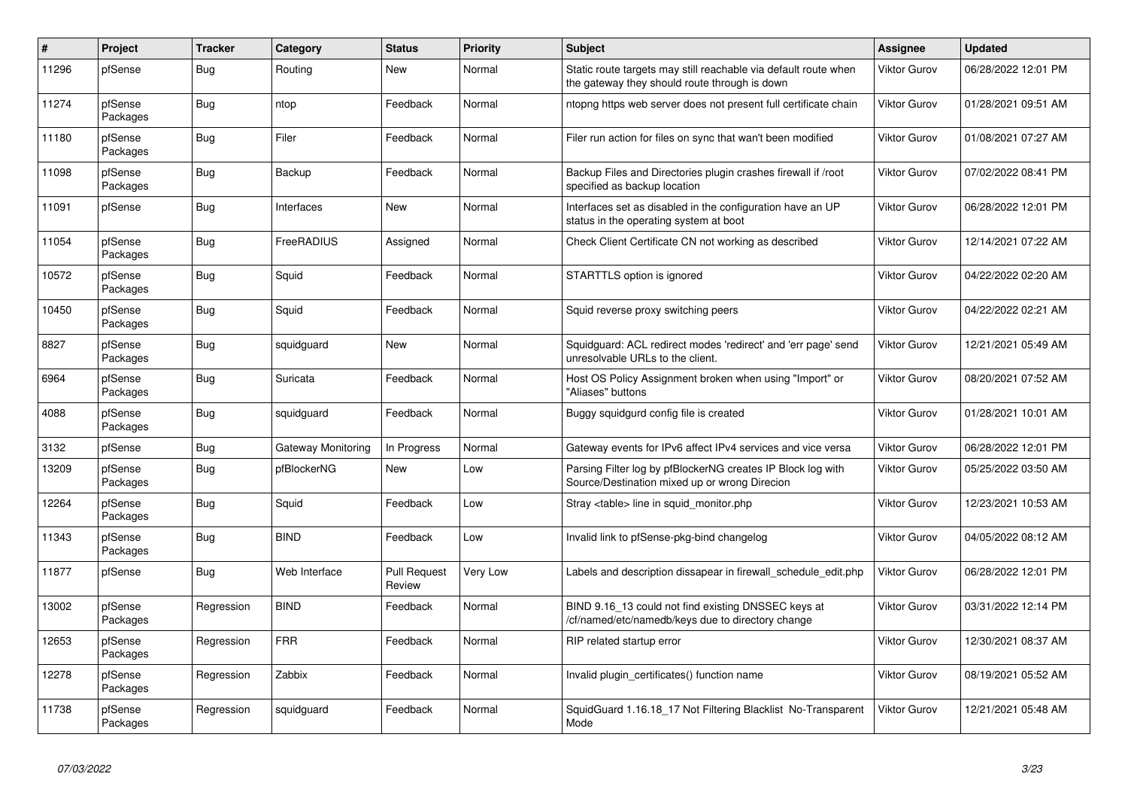| $\sharp$ | Project             | <b>Tracker</b> | Category                  | <b>Status</b>                 | <b>Priority</b> | <b>Subject</b>                                                                                                   | <b>Assignee</b>     | <b>Updated</b>      |
|----------|---------------------|----------------|---------------------------|-------------------------------|-----------------|------------------------------------------------------------------------------------------------------------------|---------------------|---------------------|
| 11296    | pfSense             | <b>Bug</b>     | Routing                   | New                           | Normal          | Static route targets may still reachable via default route when<br>the gateway they should route through is down | Viktor Gurov        | 06/28/2022 12:01 PM |
| 11274    | pfSense<br>Packages | Bug            | ntop                      | Feedback                      | Normal          | ntopng https web server does not present full certificate chain                                                  | <b>Viktor Gurov</b> | 01/28/2021 09:51 AM |
| 11180    | pfSense<br>Packages | <b>Bug</b>     | Filer                     | Feedback                      | Normal          | Filer run action for files on sync that wan't been modified                                                      | Viktor Gurov        | 01/08/2021 07:27 AM |
| 11098    | pfSense<br>Packages | <b>Bug</b>     | Backup                    | Feedback                      | Normal          | Backup Files and Directories plugin crashes firewall if /root<br>specified as backup location                    | Viktor Gurov        | 07/02/2022 08:41 PM |
| 11091    | pfSense             | <b>Bug</b>     | Interfaces                | <b>New</b>                    | Normal          | Interfaces set as disabled in the configuration have an UP<br>status in the operating system at boot             | <b>Viktor Gurov</b> | 06/28/2022 12:01 PM |
| 11054    | pfSense<br>Packages | Bug            | FreeRADIUS                | Assigned                      | Normal          | Check Client Certificate CN not working as described                                                             | Viktor Gurov        | 12/14/2021 07:22 AM |
| 10572    | pfSense<br>Packages | <b>Bug</b>     | Squid                     | Feedback                      | Normal          | STARTTLS option is ignored                                                                                       | Viktor Gurov        | 04/22/2022 02:20 AM |
| 10450    | pfSense<br>Packages | <b>Bug</b>     | Squid                     | Feedback                      | Normal          | Squid reverse proxy switching peers                                                                              | <b>Viktor Gurov</b> | 04/22/2022 02:21 AM |
| 8827     | pfSense<br>Packages | <b>Bug</b>     | squidguard                | New                           | Normal          | Squidguard: ACL redirect modes 'redirect' and 'err page' send<br>unresolvable URLs to the client.                | Viktor Gurov        | 12/21/2021 05:49 AM |
| 6964     | pfSense<br>Packages | Bug            | Suricata                  | Feedback                      | Normal          | Host OS Policy Assignment broken when using "Import" or<br>"Aliases" buttons                                     | <b>Viktor Gurov</b> | 08/20/2021 07:52 AM |
| 4088     | pfSense<br>Packages | Bug            | squidguard                | Feedback                      | Normal          | Buggy squidgurd config file is created                                                                           | Viktor Gurov        | 01/28/2021 10:01 AM |
| 3132     | pfSense             | <b>Bug</b>     | <b>Gateway Monitoring</b> | In Progress                   | Normal          | Gateway events for IPv6 affect IPv4 services and vice versa                                                      | Viktor Gurov        | 06/28/2022 12:01 PM |
| 13209    | pfSense<br>Packages | <b>Bug</b>     | pfBlockerNG               | New                           | Low             | Parsing Filter log by pfBlockerNG creates IP Block log with<br>Source/Destination mixed up or wrong Direcion     | Viktor Gurov        | 05/25/2022 03:50 AM |
| 12264    | pfSense<br>Packages | <b>Bug</b>     | Squid                     | Feedback                      | Low             | Stray <table> line in squid_monitor.php</table>                                                                  | Viktor Gurov        | 12/23/2021 10:53 AM |
| 11343    | pfSense<br>Packages | Bug            | <b>BIND</b>               | Feedback                      | Low             | Invalid link to pfSense-pkg-bind changelog                                                                       | <b>Viktor Gurov</b> | 04/05/2022 08:12 AM |
| 11877    | pfSense             | <b>Bug</b>     | Web Interface             | <b>Pull Request</b><br>Review | <b>Very Low</b> | Labels and description dissapear in firewall_schedule_edit.php                                                   | Viktor Gurov        | 06/28/2022 12:01 PM |
| 13002    | pfSense<br>Packages | Regression     | <b>BIND</b>               | Feedback                      | Normal          | BIND 9.16 13 could not find existing DNSSEC keys at<br>/cf/named/etc/namedb/keys due to directory change         | Viktor Gurov        | 03/31/2022 12:14 PM |
| 12653    | pfSense<br>Packages | Regression     | <b>FRR</b>                | Feedback                      | Normal          | RIP related startup error                                                                                        | Viktor Gurov        | 12/30/2021 08:37 AM |
| 12278    | pfSense<br>Packages | Regression     | Zabbix                    | Feedback                      | Normal          | Invalid plugin certificates() function name                                                                      | Viktor Gurov        | 08/19/2021 05:52 AM |
| 11738    | pfSense<br>Packages | Regression     | squidguard                | Feedback                      | Normal          | SquidGuard 1.16.18_17 Not Filtering Blacklist No-Transparent<br>Mode                                             | <b>Viktor Gurov</b> | 12/21/2021 05:48 AM |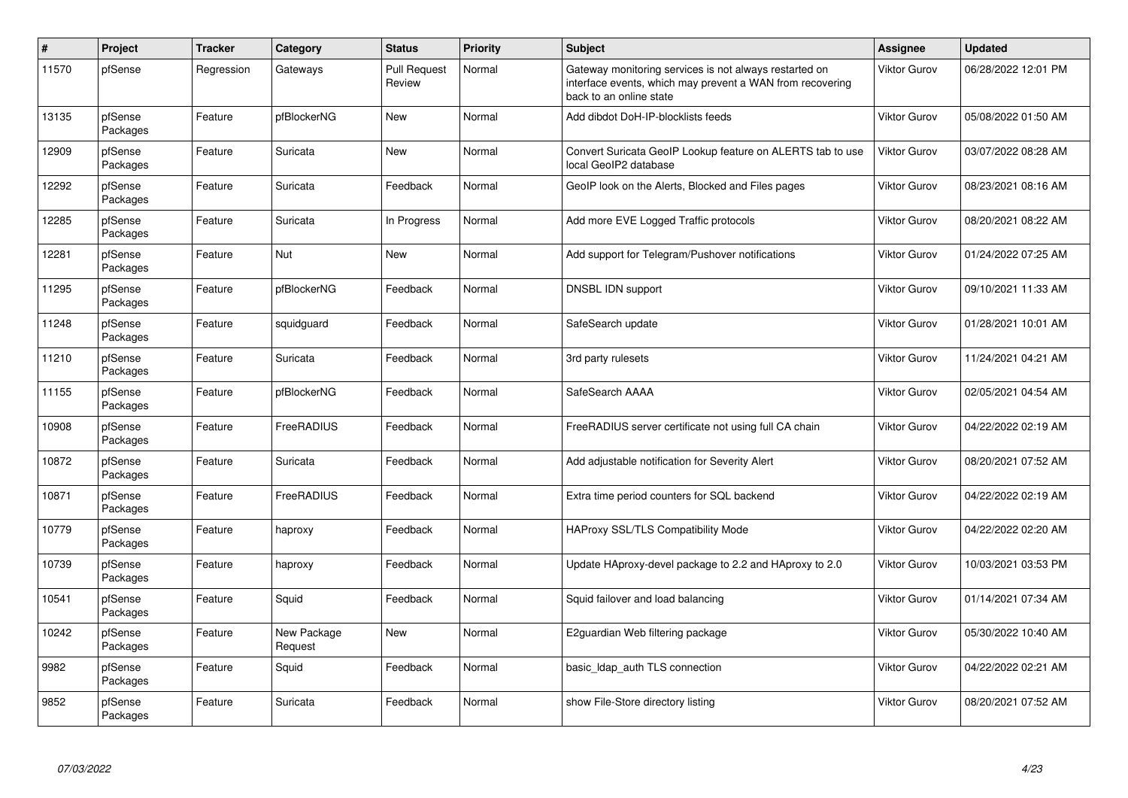| $\sharp$ | Project             | <b>Tracker</b> | Category               | <b>Status</b>                 | <b>Priority</b> | <b>Subject</b>                                                                                                                                 | <b>Assignee</b>     | <b>Updated</b>      |
|----------|---------------------|----------------|------------------------|-------------------------------|-----------------|------------------------------------------------------------------------------------------------------------------------------------------------|---------------------|---------------------|
| 11570    | pfSense             | Regression     | Gateways               | <b>Pull Request</b><br>Review | Normal          | Gateway monitoring services is not always restarted on<br>interface events, which may prevent a WAN from recovering<br>back to an online state | Viktor Gurov        | 06/28/2022 12:01 PM |
| 13135    | pfSense<br>Packages | Feature        | pfBlockerNG            | <b>New</b>                    | Normal          | Add dibdot DoH-IP-blocklists feeds                                                                                                             | <b>Viktor Gurov</b> | 05/08/2022 01:50 AM |
| 12909    | pfSense<br>Packages | Feature        | Suricata               | New                           | Normal          | Convert Suricata GeoIP Lookup feature on ALERTS tab to use<br>local GeoIP2 database                                                            | Viktor Gurov        | 03/07/2022 08:28 AM |
| 12292    | pfSense<br>Packages | Feature        | Suricata               | Feedback                      | Normal          | GeoIP look on the Alerts, Blocked and Files pages                                                                                              | Viktor Gurov        | 08/23/2021 08:16 AM |
| 12285    | pfSense<br>Packages | Feature        | Suricata               | In Progress                   | Normal          | Add more EVE Logged Traffic protocols                                                                                                          | Viktor Gurov        | 08/20/2021 08:22 AM |
| 12281    | pfSense<br>Packages | Feature        | Nut                    | <b>New</b>                    | Normal          | Add support for Telegram/Pushover notifications                                                                                                | Viktor Gurov        | 01/24/2022 07:25 AM |
| 11295    | pfSense<br>Packages | Feature        | pfBlockerNG            | Feedback                      | Normal          | DNSBL IDN support                                                                                                                              | Viktor Gurov        | 09/10/2021 11:33 AM |
| 11248    | pfSense<br>Packages | Feature        | squidguard             | Feedback                      | Normal          | SafeSearch update                                                                                                                              | Viktor Gurov        | 01/28/2021 10:01 AM |
| 11210    | pfSense<br>Packages | Feature        | Suricata               | Feedback                      | Normal          | 3rd party rulesets                                                                                                                             | Viktor Gurov        | 11/24/2021 04:21 AM |
| 11155    | pfSense<br>Packages | Feature        | pfBlockerNG            | Feedback                      | Normal          | SafeSearch AAAA                                                                                                                                | Viktor Gurov        | 02/05/2021 04:54 AM |
| 10908    | pfSense<br>Packages | Feature        | FreeRADIUS             | Feedback                      | Normal          | FreeRADIUS server certificate not using full CA chain                                                                                          | Viktor Gurov        | 04/22/2022 02:19 AM |
| 10872    | pfSense<br>Packages | Feature        | Suricata               | Feedback                      | Normal          | Add adjustable notification for Severity Alert                                                                                                 | Viktor Gurov        | 08/20/2021 07:52 AM |
| 10871    | pfSense<br>Packages | Feature        | <b>FreeRADIUS</b>      | Feedback                      | Normal          | Extra time period counters for SQL backend                                                                                                     | Viktor Gurov        | 04/22/2022 02:19 AM |
| 10779    | pfSense<br>Packages | Feature        | haproxy                | Feedback                      | Normal          | <b>HAProxy SSL/TLS Compatibility Mode</b>                                                                                                      | Viktor Gurov        | 04/22/2022 02:20 AM |
| 10739    | pfSense<br>Packages | Feature        | haproxy                | Feedback                      | Normal          | Update HAproxy-devel package to 2.2 and HAproxy to 2.0                                                                                         | Viktor Gurov        | 10/03/2021 03:53 PM |
| 10541    | pfSense<br>Packages | Feature        | Squid                  | Feedback                      | Normal          | Squid failover and load balancing                                                                                                              | Viktor Gurov        | 01/14/2021 07:34 AM |
| 10242    | pfSense<br>Packages | Feature        | New Package<br>Request | New                           | Normal          | E2guardian Web filtering package                                                                                                               | Viktor Gurov        | 05/30/2022 10:40 AM |
| 9982     | pfSense<br>Packages | Feature        | Squid                  | Feedback                      | Normal          | basic_Idap_auth TLS connection                                                                                                                 | Viktor Gurov        | 04/22/2022 02:21 AM |
| 9852     | pfSense<br>Packages | Feature        | Suricata               | Feedback                      | Normal          | show File-Store directory listing                                                                                                              | Viktor Gurov        | 08/20/2021 07:52 AM |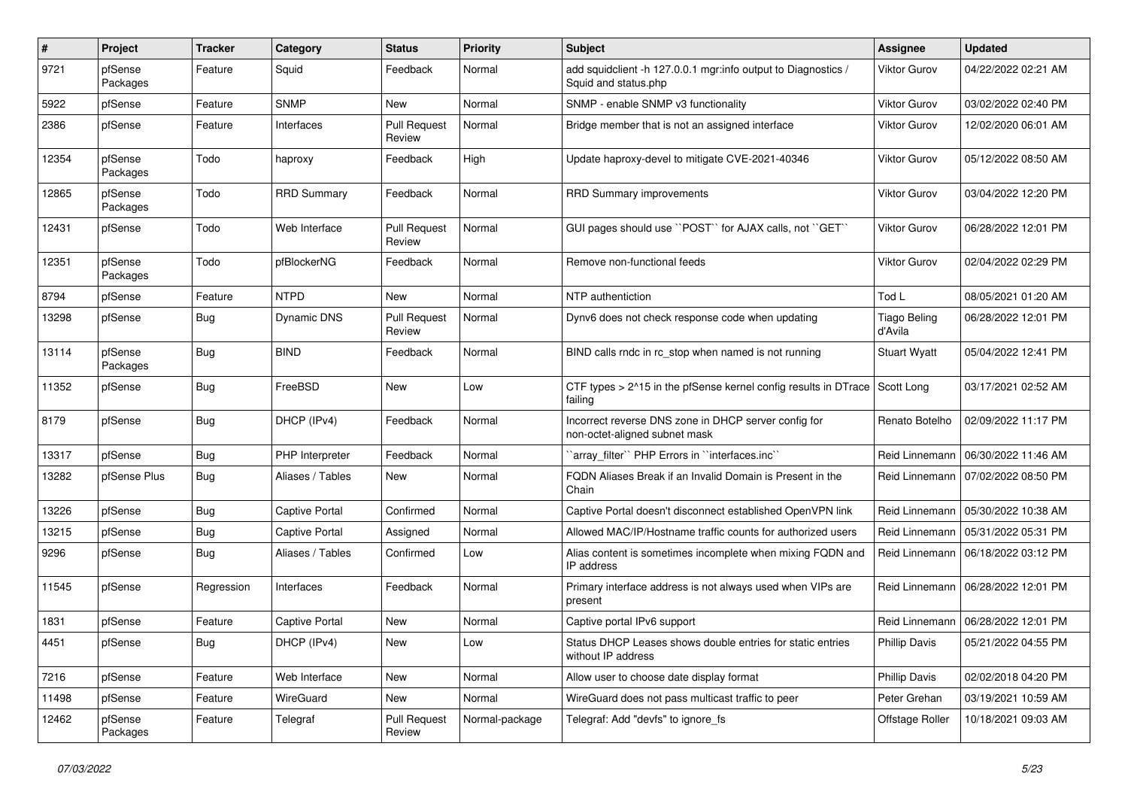| $\pmb{\#}$ | Project             | <b>Tracker</b> | Category              | <b>Status</b>                 | <b>Priority</b> | <b>Subject</b>                                                                        | <b>Assignee</b>                | <b>Updated</b>                       |
|------------|---------------------|----------------|-----------------------|-------------------------------|-----------------|---------------------------------------------------------------------------------------|--------------------------------|--------------------------------------|
| 9721       | pfSense<br>Packages | Feature        | Squid                 | Feedback                      | Normal          | add squidclient -h 127.0.0.1 mgr:info output to Diagnostics /<br>Squid and status.php | Viktor Gurov                   | 04/22/2022 02:21 AM                  |
| 5922       | pfSense             | Feature        | <b>SNMP</b>           | New                           | Normal          | SNMP - enable SNMP v3 functionality                                                   | <b>Viktor Gurov</b>            | 03/02/2022 02:40 PM                  |
| 2386       | pfSense             | Feature        | Interfaces            | <b>Pull Request</b><br>Review | Normal          | Bridge member that is not an assigned interface                                       | Viktor Gurov                   | 12/02/2020 06:01 AM                  |
| 12354      | pfSense<br>Packages | Todo           | haproxy               | Feedback                      | High            | Update haproxy-devel to mitigate CVE-2021-40346                                       | Viktor Gurov                   | 05/12/2022 08:50 AM                  |
| 12865      | pfSense<br>Packages | Todo           | <b>RRD Summary</b>    | Feedback                      | Normal          | <b>RRD Summary improvements</b>                                                       | <b>Viktor Gurov</b>            | 03/04/2022 12:20 PM                  |
| 12431      | pfSense             | Todo           | Web Interface         | <b>Pull Request</b><br>Review | Normal          | GUI pages should use "POST" for AJAX calls, not "GET"                                 | <b>Viktor Gurov</b>            | 06/28/2022 12:01 PM                  |
| 12351      | pfSense<br>Packages | Todo           | pfBlockerNG           | Feedback                      | Normal          | Remove non-functional feeds                                                           | Viktor Gurov                   | 02/04/2022 02:29 PM                  |
| 8794       | pfSense             | Feature        | <b>NTPD</b>           | New                           | Normal          | NTP authentiction                                                                     | Tod L                          | 08/05/2021 01:20 AM                  |
| 13298      | pfSense             | <b>Bug</b>     | <b>Dynamic DNS</b>    | <b>Pull Request</b><br>Review | Normal          | Dynv6 does not check response code when updating                                      | <b>Tiago Beling</b><br>d'Avila | 06/28/2022 12:01 PM                  |
| 13114      | pfSense<br>Packages | Bug            | <b>BIND</b>           | Feedback                      | Normal          | BIND calls rndc in rc_stop when named is not running                                  | <b>Stuart Wyatt</b>            | 05/04/2022 12:41 PM                  |
| 11352      | pfSense             | <b>Bug</b>     | FreeBSD               | <b>New</b>                    | Low             | CTF types > 2^15 in the pfSense kernel config results in DTrace<br>failing            | Scott Long                     | 03/17/2021 02:52 AM                  |
| 8179       | pfSense             | <b>Bug</b>     | DHCP (IPv4)           | Feedback                      | Normal          | Incorrect reverse DNS zone in DHCP server config for<br>non-octet-aligned subnet mask | Renato Botelho                 | 02/09/2022 11:17 PM                  |
| 13317      | pfSense             | <b>Bug</b>     | PHP Interpreter       | Feedback                      | Normal          | 'array_filter'' PHP Errors in "interfaces.inc"                                        | Reid Linnemann                 | 06/30/2022 11:46 AM                  |
| 13282      | pfSense Plus        | <b>Bug</b>     | Aliases / Tables      | <b>New</b>                    | Normal          | FQDN Aliases Break if an Invalid Domain is Present in the<br>Chain                    | Reid Linnemann                 | 07/02/2022 08:50 PM                  |
| 13226      | pfSense             | <b>Bug</b>     | <b>Captive Portal</b> | Confirmed                     | Normal          | Captive Portal doesn't disconnect established OpenVPN link                            | Reid Linnemann                 | 05/30/2022 10:38 AM                  |
| 13215      | pfSense             | Bug            | <b>Captive Portal</b> | Assigned                      | Normal          | Allowed MAC/IP/Hostname traffic counts for authorized users                           | Reid Linnemann                 | 05/31/2022 05:31 PM                  |
| 9296       | pfSense             | Bug            | Aliases / Tables      | Confirmed                     | Low             | Alias content is sometimes incomplete when mixing FQDN and<br>IP address              | Reid Linnemann                 | 06/18/2022 03:12 PM                  |
| 11545      | pfSense             | Regression     | Interfaces            | Feedback                      | Normal          | Primary interface address is not always used when VIPs are<br>present                 | Reid Linnemann                 | 06/28/2022 12:01 PM                  |
| 1831       | pfSense             | Feature        | <b>Captive Portal</b> | <b>New</b>                    | Normal          | Captive portal IPv6 support                                                           |                                | Reid Linnemann   06/28/2022 12:01 PM |
| 4451       | pfSense             | <b>Bug</b>     | DHCP (IPv4)           | New                           | Low             | Status DHCP Leases shows double entries for static entries<br>without IP address      | <b>Phillip Davis</b>           | 05/21/2022 04:55 PM                  |
| 7216       | pfSense             | Feature        | Web Interface         | New                           | Normal          | Allow user to choose date display format                                              | <b>Phillip Davis</b>           | 02/02/2018 04:20 PM                  |
| 11498      | pfSense             | Feature        | WireGuard             | New                           | Normal          | WireGuard does not pass multicast traffic to peer                                     | Peter Grehan                   | 03/19/2021 10:59 AM                  |
| 12462      | pfSense<br>Packages | Feature        | Telegraf              | <b>Pull Request</b><br>Review | Normal-package  | Telegraf: Add "devfs" to ignore fs                                                    | Offstage Roller                | 10/18/2021 09:03 AM                  |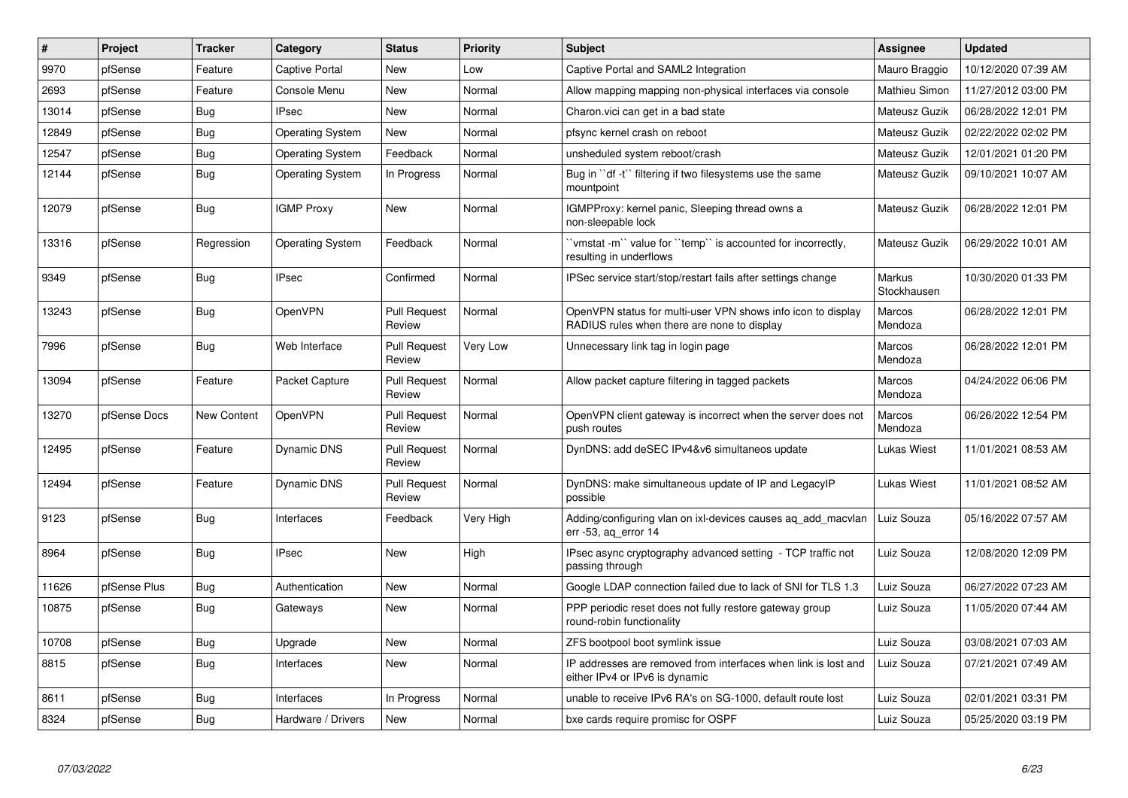| ∦     | Project      | <b>Tracker</b> | Category                | <b>Status</b>                 | Priority        | <b>Subject</b>                                                                                              | <b>Assignee</b>       | <b>Updated</b>      |
|-------|--------------|----------------|-------------------------|-------------------------------|-----------------|-------------------------------------------------------------------------------------------------------------|-----------------------|---------------------|
| 9970  | pfSense      | Feature        | <b>Captive Portal</b>   | New                           | Low             | Captive Portal and SAML2 Integration                                                                        | Mauro Braggio         | 10/12/2020 07:39 AM |
| 2693  | pfSense      | Feature        | Console Menu            | <b>New</b>                    | Normal          | Allow mapping mapping non-physical interfaces via console                                                   | Mathieu Simon         | 11/27/2012 03:00 PM |
| 13014 | pfSense      | Bug            | <b>IPsec</b>            | New                           | Normal          | Charon.vici can get in a bad state                                                                          | Mateusz Guzik         | 06/28/2022 12:01 PM |
| 12849 | pfSense      | <b>Bug</b>     | <b>Operating System</b> | New                           | Normal          | pfsync kernel crash on reboot                                                                               | Mateusz Guzik         | 02/22/2022 02:02 PM |
| 12547 | pfSense      | Bug            | <b>Operating System</b> | Feedback                      | Normal          | unsheduled system reboot/crash                                                                              | Mateusz Guzik         | 12/01/2021 01:20 PM |
| 12144 | pfSense      | <b>Bug</b>     | <b>Operating System</b> | In Progress                   | Normal          | Bug in "df -t" filtering if two filesystems use the same<br>mountpoint                                      | Mateusz Guzik         | 09/10/2021 10:07 AM |
| 12079 | pfSense      | <b>Bug</b>     | <b>IGMP Proxy</b>       | <b>New</b>                    | Normal          | IGMPProxy: kernel panic, Sleeping thread owns a<br>non-sleepable lock                                       | Mateusz Guzik         | 06/28/2022 12:01 PM |
| 13316 | pfSense      | Regression     | <b>Operating System</b> | Feedback                      | Normal          | 'vmstat-m'' value for ''temp'' is accounted for incorrectly,<br>resulting in underflows                     | Mateusz Guzik         | 06/29/2022 10:01 AM |
| 9349  | pfSense      | Bug            | <b>IPsec</b>            | Confirmed                     | Normal          | IPSec service start/stop/restart fails after settings change                                                | Markus<br>Stockhausen | 10/30/2020 01:33 PM |
| 13243 | pfSense      | <b>Bug</b>     | OpenVPN                 | <b>Pull Request</b><br>Review | Normal          | OpenVPN status for multi-user VPN shows info icon to display<br>RADIUS rules when there are none to display | Marcos<br>Mendoza     | 06/28/2022 12:01 PM |
| 7996  | pfSense      | Bug            | Web Interface           | <b>Pull Request</b><br>Review | <b>Very Low</b> | Unnecessary link tag in login page                                                                          | Marcos<br>Mendoza     | 06/28/2022 12:01 PM |
| 13094 | pfSense      | Feature        | Packet Capture          | <b>Pull Request</b><br>Review | Normal          | Allow packet capture filtering in tagged packets                                                            | Marcos<br>Mendoza     | 04/24/2022 06:06 PM |
| 13270 | pfSense Docs | New Content    | OpenVPN                 | <b>Pull Request</b><br>Review | Normal          | OpenVPN client gateway is incorrect when the server does not<br>push routes                                 | Marcos<br>Mendoza     | 06/26/2022 12:54 PM |
| 12495 | pfSense      | Feature        | Dynamic DNS             | <b>Pull Request</b><br>Review | Normal          | DynDNS: add deSEC IPv4&v6 simultaneos update                                                                | Lukas Wiest           | 11/01/2021 08:53 AM |
| 12494 | pfSense      | Feature        | Dynamic DNS             | <b>Pull Request</b><br>Review | Normal          | DynDNS: make simultaneous update of IP and LegacyIP<br>possible                                             | Lukas Wiest           | 11/01/2021 08:52 AM |
| 9123  | pfSense      | Bug            | Interfaces              | Feedback                      | Very High       | Adding/configuring vlan on ixl-devices causes ag add macvlan<br>err -53, ag error 14                        | Luiz Souza            | 05/16/2022 07:57 AM |
| 8964  | pfSense      | <b>Bug</b>     | <b>IPsec</b>            | <b>New</b>                    | High            | IPsec async cryptography advanced setting - TCP traffic not<br>passing through                              | Luiz Souza            | 12/08/2020 12:09 PM |
| 11626 | pfSense Plus | Bug            | Authentication          | <b>New</b>                    | Normal          | Google LDAP connection failed due to lack of SNI for TLS 1.3                                                | Luiz Souza            | 06/27/2022 07:23 AM |
| 10875 | pfSense      | <b>Bug</b>     | Gateways                | New                           | Normal          | PPP periodic reset does not fully restore gateway group<br>round-robin functionality                        | Luiz Souza            | 11/05/2020 07:44 AM |
| 10708 | pfSense      | Bug            | Upgrade                 | New                           | Normal          | ZFS bootpool boot symlink issue                                                                             | Luiz Souza            | 03/08/2021 07:03 AM |
| 8815  | pfSense      | Bug            | Interfaces              | New                           | Normal          | IP addresses are removed from interfaces when link is lost and<br>either IPv4 or IPv6 is dynamic            | Luiz Souza            | 07/21/2021 07:49 AM |
| 8611  | pfSense      | Bug            | Interfaces              | In Progress                   | Normal          | unable to receive IPv6 RA's on SG-1000, default route lost                                                  | Luiz Souza            | 02/01/2021 03:31 PM |
| 8324  | pfSense      | <b>Bug</b>     | Hardware / Drivers      | New                           | Normal          | bxe cards require promisc for OSPF                                                                          | Luiz Souza            | 05/25/2020 03:19 PM |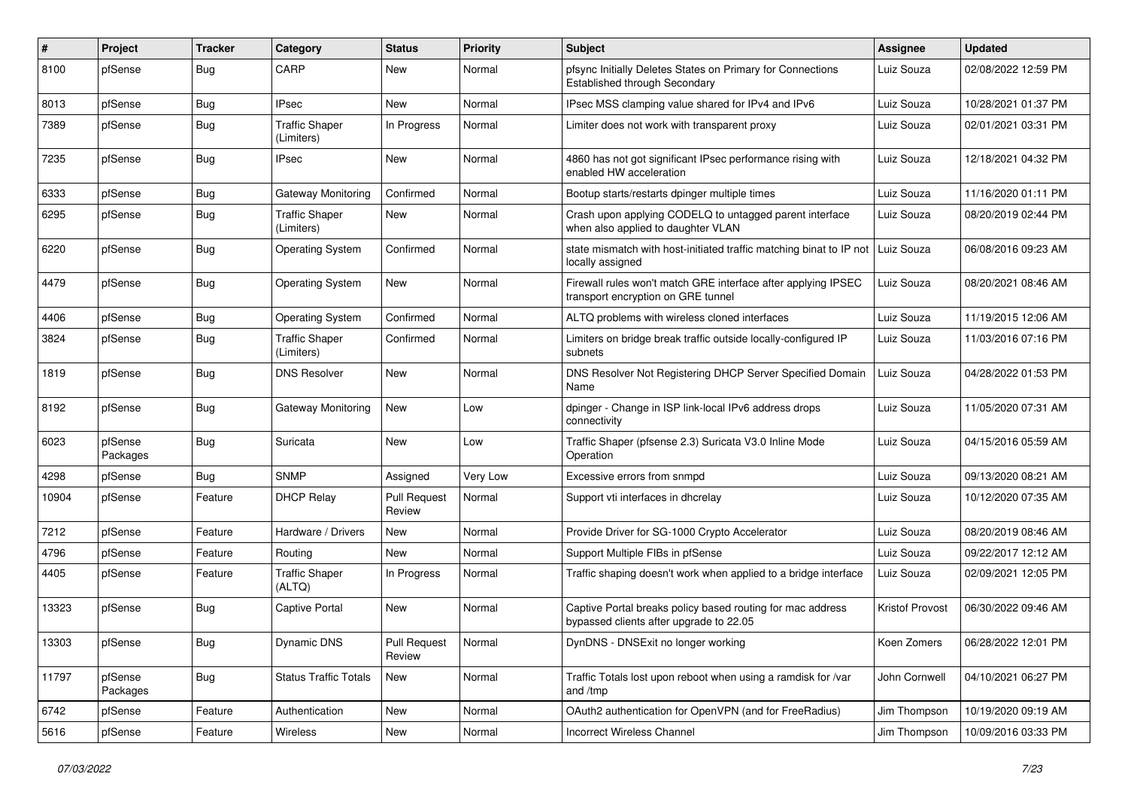| ∦     | Project             | <b>Tracker</b> | Category                            | <b>Status</b>                 | <b>Priority</b> | Subject                                                                                               | <b>Assignee</b> | <b>Updated</b>      |
|-------|---------------------|----------------|-------------------------------------|-------------------------------|-----------------|-------------------------------------------------------------------------------------------------------|-----------------|---------------------|
| 8100  | pfSense             | <b>Bug</b>     | CARP                                | New                           | Normal          | pfsync Initially Deletes States on Primary for Connections<br><b>Established through Secondary</b>    | Luiz Souza      | 02/08/2022 12:59 PM |
| 8013  | pfSense             | Bug            | <b>IPsec</b>                        | New                           | Normal          | IPsec MSS clamping value shared for IPv4 and IPv6                                                     | Luiz Souza      | 10/28/2021 01:37 PM |
| 7389  | pfSense             | <b>Bug</b>     | <b>Traffic Shaper</b><br>(Limiters) | In Progress                   | Normal          | Limiter does not work with transparent proxy                                                          | Luiz Souza      | 02/01/2021 03:31 PM |
| 7235  | pfSense             | Bug            | <b>IPsec</b>                        | New                           | Normal          | 4860 has not got significant IPsec performance rising with<br>enabled HW acceleration                 | Luiz Souza      | 12/18/2021 04:32 PM |
| 6333  | pfSense             | Bug            | Gateway Monitoring                  | Confirmed                     | Normal          | Bootup starts/restarts dpinger multiple times                                                         | Luiz Souza      | 11/16/2020 01:11 PM |
| 6295  | pfSense             | <b>Bug</b>     | <b>Traffic Shaper</b><br>(Limiters) | New                           | Normal          | Crash upon applying CODELQ to untagged parent interface<br>when also applied to daughter VLAN         | Luiz Souza      | 08/20/2019 02:44 PM |
| 6220  | pfSense             | <b>Bug</b>     | <b>Operating System</b>             | Confirmed                     | Normal          | state mismatch with host-initiated traffic matching binat to IP not<br>locally assigned               | Luiz Souza      | 06/08/2016 09:23 AM |
| 4479  | pfSense             | <b>Bug</b>     | <b>Operating System</b>             | <b>New</b>                    | Normal          | Firewall rules won't match GRE interface after applying IPSEC<br>transport encryption on GRE tunnel   | Luiz Souza      | 08/20/2021 08:46 AM |
| 4406  | pfSense             | <b>Bug</b>     | <b>Operating System</b>             | Confirmed                     | Normal          | ALTQ problems with wireless cloned interfaces                                                         | Luiz Souza      | 11/19/2015 12:06 AM |
| 3824  | pfSense             | Bug            | <b>Traffic Shaper</b><br>(Limiters) | Confirmed                     | Normal          | Limiters on bridge break traffic outside locally-configured IP<br>subnets                             | Luiz Souza      | 11/03/2016 07:16 PM |
| 1819  | pfSense             | Bug            | <b>DNS Resolver</b>                 | New                           | Normal          | DNS Resolver Not Registering DHCP Server Specified Domain<br>Name                                     | Luiz Souza      | 04/28/2022 01:53 PM |
| 8192  | pfSense             | <b>Bug</b>     | Gateway Monitoring                  | New                           | Low             | dpinger - Change in ISP link-local IPv6 address drops<br>connectivity                                 | Luiz Souza      | 11/05/2020 07:31 AM |
| 6023  | pfSense<br>Packages | <b>Bug</b>     | Suricata                            | New                           | Low             | Traffic Shaper (pfsense 2.3) Suricata V3.0 Inline Mode<br>Operation                                   | Luiz Souza      | 04/15/2016 05:59 AM |
| 4298  | pfSense             | Bug            | <b>SNMP</b>                         | Assigned                      | Very Low        | Excessive errors from snmpd                                                                           | Luiz Souza      | 09/13/2020 08:21 AM |
| 10904 | pfSense             | Feature        | <b>DHCP Relay</b>                   | <b>Pull Request</b><br>Review | Normal          | Support vti interfaces in dhcrelay                                                                    | Luiz Souza      | 10/12/2020 07:35 AM |
| 7212  | pfSense             | Feature        | Hardware / Drivers                  | New                           | Normal          | Provide Driver for SG-1000 Crypto Accelerator                                                         | Luiz Souza      | 08/20/2019 08:46 AM |
| 4796  | pfSense             | Feature        | Routing                             | New                           | Normal          | Support Multiple FIBs in pfSense                                                                      | Luiz Souza      | 09/22/2017 12:12 AM |
| 4405  | pfSense             | Feature        | <b>Traffic Shaper</b><br>(ALTQ)     | In Progress                   | Normal          | Traffic shaping doesn't work when applied to a bridge interface                                       | Luiz Souza      | 02/09/2021 12:05 PM |
| 13323 | pfSense             | <b>Bug</b>     | <b>Captive Portal</b>               | New                           | Normal          | Captive Portal breaks policy based routing for mac address<br>bypassed clients after upgrade to 22.05 | Kristof Provost | 06/30/2022 09:46 AM |
| 13303 | pfSense             | Bug            | Dynamic DNS                         | <b>Pull Request</b><br>Review | Normal          | DynDNS - DNSExit no longer working                                                                    | Koen Zomers     | 06/28/2022 12:01 PM |
| 11797 | pfSense<br>Packages | Bug            | <b>Status Traffic Totals</b>        | New                           | Normal          | Traffic Totals lost upon reboot when using a ramdisk for /var<br>and /tmp                             | John Cornwell   | 04/10/2021 06:27 PM |
| 6742  | pfSense             | Feature        | Authentication                      | New                           | Normal          | OAuth2 authentication for OpenVPN (and for FreeRadius)                                                | Jim Thompson    | 10/19/2020 09:19 AM |
| 5616  | pfSense             | Feature        | Wireless                            | New                           | Normal          | Incorrect Wireless Channel                                                                            | Jim Thompson    | 10/09/2016 03:33 PM |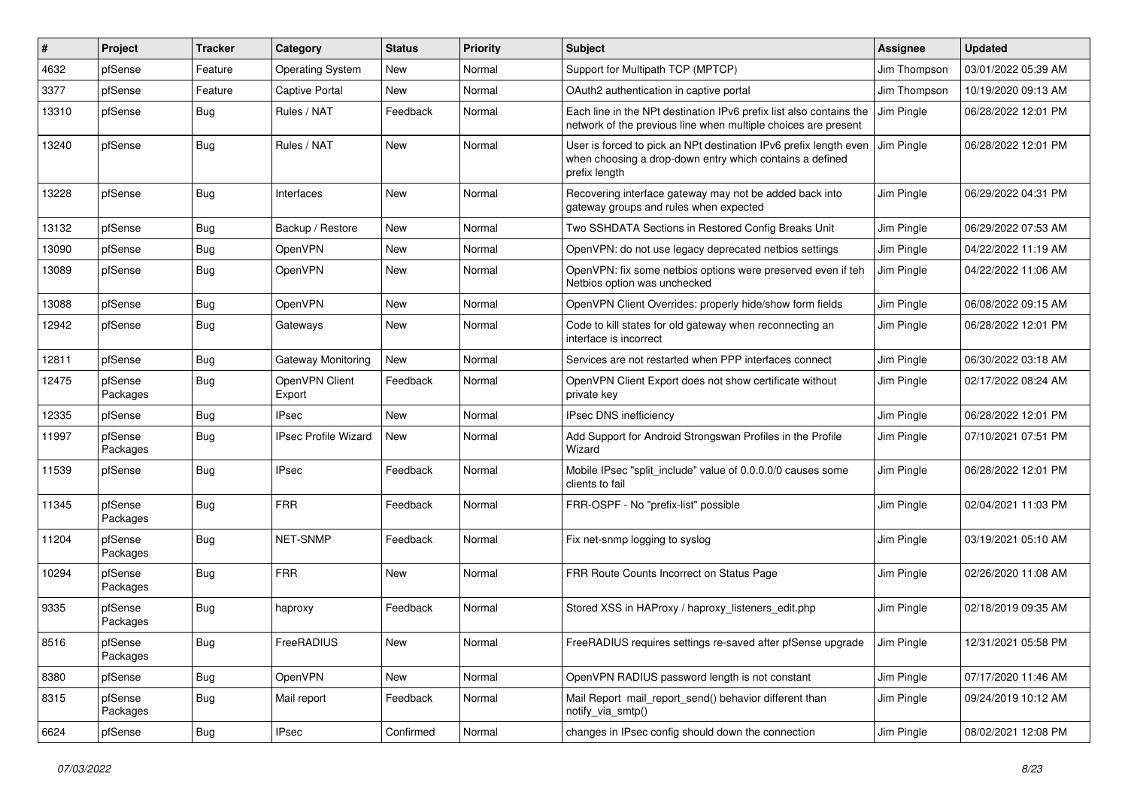| $\vert$ # | Project             | <b>Tracker</b> | Category                    | <b>Status</b> | <b>Priority</b> | Subject                                                                                                                                        | <b>Assignee</b> | <b>Updated</b>      |
|-----------|---------------------|----------------|-----------------------------|---------------|-----------------|------------------------------------------------------------------------------------------------------------------------------------------------|-----------------|---------------------|
| 4632      | pfSense             | Feature        | <b>Operating System</b>     | New           | Normal          | Support for Multipath TCP (MPTCP)                                                                                                              | Jim Thompson    | 03/01/2022 05:39 AM |
| 3377      | pfSense             | Feature        | <b>Captive Portal</b>       | New           | Normal          | OAuth2 authentication in captive portal                                                                                                        | Jim Thompson    | 10/19/2020 09:13 AM |
| 13310     | pfSense             | Bug            | Rules / NAT                 | Feedback      | Normal          | Each line in the NPt destination IPv6 prefix list also contains the<br>network of the previous line when multiple choices are present          | Jim Pingle      | 06/28/2022 12:01 PM |
| 13240     | pfSense             | Bug            | Rules / NAT                 | New           | Normal          | User is forced to pick an NPt destination IPv6 prefix length even<br>when choosing a drop-down entry which contains a defined<br>prefix length | Jim Pingle      | 06/28/2022 12:01 PM |
| 13228     | pfSense             | Bug            | Interfaces                  | New           | Normal          | Recovering interface gateway may not be added back into<br>gateway groups and rules when expected                                              | Jim Pingle      | 06/29/2022 04:31 PM |
| 13132     | pfSense             | <b>Bug</b>     | Backup / Restore            | New           | Normal          | Two SSHDATA Sections in Restored Config Breaks Unit                                                                                            | Jim Pingle      | 06/29/2022 07:53 AM |
| 13090     | pfSense             | Bug            | OpenVPN                     | New           | Normal          | OpenVPN: do not use legacy deprecated netbios settings                                                                                         | Jim Pingle      | 04/22/2022 11:19 AM |
| 13089     | pfSense             | Bug            | OpenVPN                     | New           | Normal          | OpenVPN: fix some netbios options were preserved even if teh<br>Netbios option was unchecked                                                   | Jim Pingle      | 04/22/2022 11:06 AM |
| 13088     | pfSense             | Bug            | OpenVPN                     | New           | Normal          | OpenVPN Client Overrides: properly hide/show form fields                                                                                       | Jim Pingle      | 06/08/2022 09:15 AM |
| 12942     | pfSense             | <b>Bug</b>     | Gateways                    | <b>New</b>    | Normal          | Code to kill states for old gateway when reconnecting an<br>interface is incorrect                                                             | Jim Pingle      | 06/28/2022 12:01 PM |
| 12811     | pfSense             | Bug            | Gateway Monitoring          | New           | Normal          | Services are not restarted when PPP interfaces connect                                                                                         | Jim Pingle      | 06/30/2022 03:18 AM |
| 12475     | pfSense<br>Packages | Bug            | OpenVPN Client<br>Export    | Feedback      | Normal          | OpenVPN Client Export does not show certificate without<br>private key                                                                         | Jim Pingle      | 02/17/2022 08:24 AM |
| 12335     | pfSense             | Bug            | <b>IPsec</b>                | New           | Normal          | <b>IPsec DNS inefficiency</b>                                                                                                                  | Jim Pingle      | 06/28/2022 12:01 PM |
| 11997     | pfSense<br>Packages | <b>Bug</b>     | <b>IPsec Profile Wizard</b> | <b>New</b>    | Normal          | Add Support for Android Strongswan Profiles in the Profile<br>Wizard                                                                           | Jim Pingle      | 07/10/2021 07:51 PM |
| 11539     | pfSense             | <b>Bug</b>     | <b>IPsec</b>                | Feedback      | Normal          | Mobile IPsec "split include" value of 0.0.0.0/0 causes some<br>clients to fail                                                                 | Jim Pingle      | 06/28/2022 12:01 PM |
| 11345     | pfSense<br>Packages | Bug            | <b>FRR</b>                  | Feedback      | Normal          | FRR-OSPF - No "prefix-list" possible                                                                                                           | Jim Pingle      | 02/04/2021 11:03 PM |
| 11204     | pfSense<br>Packages | Bug            | <b>NET-SNMP</b>             | Feedback      | Normal          | Fix net-snmp logging to syslog                                                                                                                 | Jim Pingle      | 03/19/2021 05:10 AM |
| 10294     | pfSense<br>Packages | <b>Bug</b>     | <b>FRR</b>                  | New           | Normal          | FRR Route Counts Incorrect on Status Page                                                                                                      | Jim Pingle      | 02/26/2020 11:08 AM |
| 9335      | pfSense<br>Packages | <b>Bug</b>     | haproxy                     | Feedback      | Normal          | Stored XSS in HAProxy / haproxy listeners edit.php                                                                                             | Jim Pingle      | 02/18/2019 09:35 AM |
| 8516      | pfSense<br>Packages | Bug            | FreeRADIUS                  | New           | Normal          | FreeRADIUS requires settings re-saved after pfSense upgrade                                                                                    | Jim Pingle      | 12/31/2021 05:58 PM |
| 8380      | pfSense             | <b>Bug</b>     | OpenVPN                     | New           | Normal          | OpenVPN RADIUS password length is not constant                                                                                                 | Jim Pingle      | 07/17/2020 11:46 AM |
| 8315      | pfSense<br>Packages | <b>Bug</b>     | Mail report                 | Feedback      | Normal          | Mail Report mail_report_send() behavior different than<br>notify_via_smtp()                                                                    | Jim Pingle      | 09/24/2019 10:12 AM |
| 6624      | pfSense             | Bug            | <b>IPsec</b>                | Confirmed     | Normal          | changes in IPsec config should down the connection                                                                                             | Jim Pingle      | 08/02/2021 12:08 PM |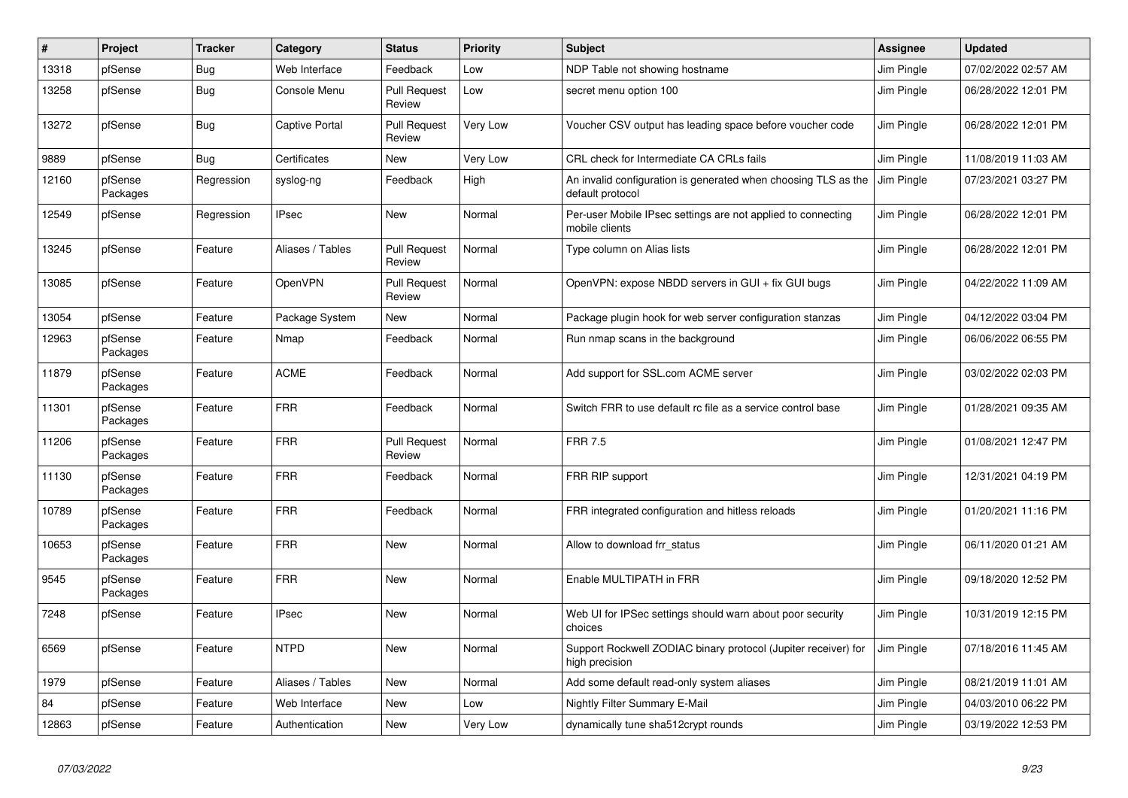| $\sharp$ | Project             | <b>Tracker</b> | Category              | <b>Status</b>                 | <b>Priority</b> | <b>Subject</b>                                                                     | <b>Assignee</b> | <b>Updated</b>      |
|----------|---------------------|----------------|-----------------------|-------------------------------|-----------------|------------------------------------------------------------------------------------|-----------------|---------------------|
| 13318    | pfSense             | Bug            | Web Interface         | Feedback                      | Low             | NDP Table not showing hostname                                                     | Jim Pingle      | 07/02/2022 02:57 AM |
| 13258    | pfSense             | <b>Bug</b>     | Console Menu          | <b>Pull Request</b><br>Review | Low             | secret menu option 100                                                             | Jim Pingle      | 06/28/2022 12:01 PM |
| 13272    | pfSense             | <b>Bug</b>     | <b>Captive Portal</b> | <b>Pull Request</b><br>Review | <b>Very Low</b> | Voucher CSV output has leading space before voucher code                           | Jim Pingle      | 06/28/2022 12:01 PM |
| 9889     | pfSense             | <b>Bug</b>     | Certificates          | New                           | Very Low        | CRL check for Intermediate CA CRLs fails                                           | Jim Pingle      | 11/08/2019 11:03 AM |
| 12160    | pfSense<br>Packages | Regression     | syslog-ng             | Feedback                      | High            | An invalid configuration is generated when choosing TLS as the<br>default protocol | Jim Pingle      | 07/23/2021 03:27 PM |
| 12549    | pfSense             | Regression     | <b>IPsec</b>          | <b>New</b>                    | Normal          | Per-user Mobile IPsec settings are not applied to connecting<br>mobile clients     | Jim Pingle      | 06/28/2022 12:01 PM |
| 13245    | pfSense             | Feature        | Aliases / Tables      | <b>Pull Request</b><br>Review | Normal          | Type column on Alias lists                                                         | Jim Pingle      | 06/28/2022 12:01 PM |
| 13085    | pfSense             | Feature        | OpenVPN               | <b>Pull Request</b><br>Review | Normal          | OpenVPN: expose NBDD servers in GUI + fix GUI bugs                                 | Jim Pingle      | 04/22/2022 11:09 AM |
| 13054    | pfSense             | Feature        | Package System        | New                           | Normal          | Package plugin hook for web server configuration stanzas                           | Jim Pingle      | 04/12/2022 03:04 PM |
| 12963    | pfSense<br>Packages | Feature        | Nmap                  | Feedback                      | Normal          | Run nmap scans in the background                                                   | Jim Pingle      | 06/06/2022 06:55 PM |
| 11879    | pfSense<br>Packages | Feature        | <b>ACME</b>           | Feedback                      | Normal          | Add support for SSL.com ACME server                                                | Jim Pingle      | 03/02/2022 02:03 PM |
| 11301    | pfSense<br>Packages | Feature        | <b>FRR</b>            | Feedback                      | Normal          | Switch FRR to use default rc file as a service control base                        | Jim Pingle      | 01/28/2021 09:35 AM |
| 11206    | pfSense<br>Packages | Feature        | <b>FRR</b>            | <b>Pull Request</b><br>Review | Normal          | <b>FRR 7.5</b>                                                                     | Jim Pingle      | 01/08/2021 12:47 PM |
| 11130    | pfSense<br>Packages | Feature        | <b>FRR</b>            | Feedback                      | Normal          | FRR RIP support                                                                    | Jim Pingle      | 12/31/2021 04:19 PM |
| 10789    | pfSense<br>Packages | Feature        | <b>FRR</b>            | Feedback                      | Normal          | FRR integrated configuration and hitless reloads                                   | Jim Pingle      | 01/20/2021 11:16 PM |
| 10653    | pfSense<br>Packages | Feature        | <b>FRR</b>            | New                           | Normal          | Allow to download frr status                                                       | Jim Pingle      | 06/11/2020 01:21 AM |
| 9545     | pfSense<br>Packages | Feature        | <b>FRR</b>            | New                           | Normal          | Enable MULTIPATH in FRR                                                            | Jim Pingle      | 09/18/2020 12:52 PM |
| 7248     | pfSense             | Feature        | <b>IPsec</b>          | <b>New</b>                    | Normal          | Web UI for IPSec settings should warn about poor security<br>choices               | Jim Pingle      | 10/31/2019 12:15 PM |
| 6569     | pfSense             | Feature        | <b>NTPD</b>           | <b>New</b>                    | Normal          | Support Rockwell ZODIAC binary protocol (Jupiter receiver) for<br>high precision   | Jim Pingle      | 07/18/2016 11:45 AM |
| 1979     | pfSense             | Feature        | Aliases / Tables      | <b>New</b>                    | Normal          | Add some default read-only system aliases                                          | Jim Pingle      | 08/21/2019 11:01 AM |
| 84       | pfSense             | Feature        | Web Interface         | <b>New</b>                    | Low             | Nightly Filter Summary E-Mail                                                      | Jim Pingle      | 04/03/2010 06:22 PM |
| 12863    | pfSense             | Feature        | Authentication        | <b>New</b>                    | Very Low        | dynamically tune sha512crypt rounds                                                | Jim Pingle      | 03/19/2022 12:53 PM |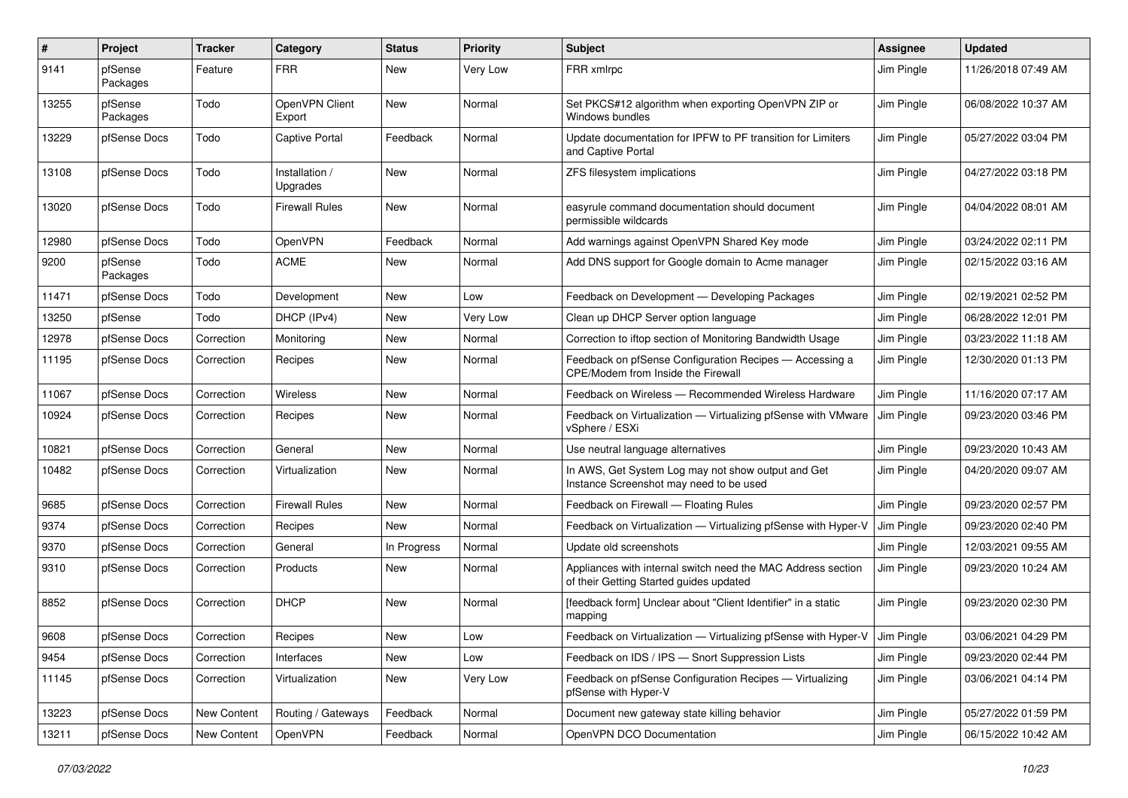| $\pmb{\#}$ | Project             | <b>Tracker</b> | Category                   | <b>Status</b> | <b>Priority</b> | <b>Subject</b>                                                                                          | <b>Assignee</b> | <b>Updated</b>      |
|------------|---------------------|----------------|----------------------------|---------------|-----------------|---------------------------------------------------------------------------------------------------------|-----------------|---------------------|
| 9141       | pfSense<br>Packages | Feature        | <b>FRR</b>                 | New           | Very Low        | FRR xmlrpc                                                                                              | Jim Pingle      | 11/26/2018 07:49 AM |
| 13255      | pfSense<br>Packages | Todo           | OpenVPN Client<br>Export   | New           | Normal          | Set PKCS#12 algorithm when exporting OpenVPN ZIP or<br>Windows bundles                                  | Jim Pingle      | 06/08/2022 10:37 AM |
| 13229      | pfSense Docs        | Todo           | <b>Captive Portal</b>      | Feedback      | Normal          | Update documentation for IPFW to PF transition for Limiters<br>and Captive Portal                       | Jim Pingle      | 05/27/2022 03:04 PM |
| 13108      | pfSense Docs        | Todo           | Installation /<br>Upgrades | New           | Normal          | ZFS filesystem implications                                                                             | Jim Pingle      | 04/27/2022 03:18 PM |
| 13020      | pfSense Docs        | Todo           | <b>Firewall Rules</b>      | New           | Normal          | easyrule command documentation should document<br>permissible wildcards                                 | Jim Pingle      | 04/04/2022 08:01 AM |
| 12980      | pfSense Docs        | Todo           | OpenVPN                    | Feedback      | Normal          | Add warnings against OpenVPN Shared Key mode                                                            | Jim Pingle      | 03/24/2022 02:11 PM |
| 9200       | pfSense<br>Packages | Todo           | <b>ACME</b>                | New           | Normal          | Add DNS support for Google domain to Acme manager                                                       | Jim Pingle      | 02/15/2022 03:16 AM |
| 11471      | pfSense Docs        | Todo           | Development                | New           | Low             | Feedback on Development - Developing Packages                                                           | Jim Pingle      | 02/19/2021 02:52 PM |
| 13250      | pfSense             | Todo           | DHCP (IPv4)                | <b>New</b>    | Very Low        | Clean up DHCP Server option language                                                                    | Jim Pingle      | 06/28/2022 12:01 PM |
| 12978      | pfSense Docs        | Correction     | Monitoring                 | <b>New</b>    | Normal          | Correction to iftop section of Monitoring Bandwidth Usage                                               | Jim Pingle      | 03/23/2022 11:18 AM |
| 11195      | pfSense Docs        | Correction     | Recipes                    | New           | Normal          | Feedback on pfSense Configuration Recipes - Accessing a<br>CPE/Modem from Inside the Firewall           | Jim Pingle      | 12/30/2020 01:13 PM |
| 11067      | pfSense Docs        | Correction     | Wireless                   | New           | Normal          | Feedback on Wireless - Recommended Wireless Hardware                                                    | Jim Pingle      | 11/16/2020 07:17 AM |
| 10924      | pfSense Docs        | Correction     | Recipes                    | New           | Normal          | Feedback on Virtualization - Virtualizing pfSense with VMware<br>vSphere / ESXi                         | Jim Pingle      | 09/23/2020 03:46 PM |
| 10821      | pfSense Docs        | Correction     | General                    | New           | Normal          | Use neutral language alternatives                                                                       | Jim Pingle      | 09/23/2020 10:43 AM |
| 10482      | pfSense Docs        | Correction     | Virtualization             | <b>New</b>    | Normal          | In AWS, Get System Log may not show output and Get<br>Instance Screenshot may need to be used           | Jim Pingle      | 04/20/2020 09:07 AM |
| 9685       | pfSense Docs        | Correction     | <b>Firewall Rules</b>      | <b>New</b>    | Normal          | Feedback on Firewall - Floating Rules                                                                   | Jim Pingle      | 09/23/2020 02:57 PM |
| 9374       | pfSense Docs        | Correction     | Recipes                    | <b>New</b>    | Normal          | Feedback on Virtualization - Virtualizing pfSense with Hyper-V                                          | Jim Pingle      | 09/23/2020 02:40 PM |
| 9370       | pfSense Docs        | Correction     | General                    | In Progress   | Normal          | Update old screenshots                                                                                  | Jim Pingle      | 12/03/2021 09:55 AM |
| 9310       | pfSense Docs        | Correction     | Products                   | New           | Normal          | Appliances with internal switch need the MAC Address section<br>of their Getting Started guides updated | Jim Pingle      | 09/23/2020 10:24 AM |
| 8852       | pfSense Docs        | Correction     | <b>DHCP</b>                | New           | Normal          | [feedback form] Unclear about "Client Identifier" in a static<br>mapping                                | Jim Pingle      | 09/23/2020 02:30 PM |
| 9608       | pfSense Docs        | Correction     | Recipes                    | New           | Low             | Feedback on Virtualization - Virtualizing pfSense with Hyper-V                                          | Jim Pingle      | 03/06/2021 04:29 PM |
| 9454       | pfSense Docs        | Correction     | Interfaces                 | New           | Low             | Feedback on IDS / IPS - Snort Suppression Lists                                                         | Jim Pingle      | 09/23/2020 02:44 PM |
| 11145      | pfSense Docs        | Correction     | Virtualization             | New           | Very Low        | Feedback on pfSense Configuration Recipes - Virtualizing<br>pfSense with Hyper-V                        | Jim Pingle      | 03/06/2021 04:14 PM |
| 13223      | pfSense Docs        | New Content    | Routing / Gateways         | Feedback      | Normal          | Document new gateway state killing behavior                                                             | Jim Pingle      | 05/27/2022 01:59 PM |
| 13211      | pfSense Docs        | New Content    | OpenVPN                    | Feedback      | Normal          | OpenVPN DCO Documentation                                                                               | Jim Pingle      | 06/15/2022 10:42 AM |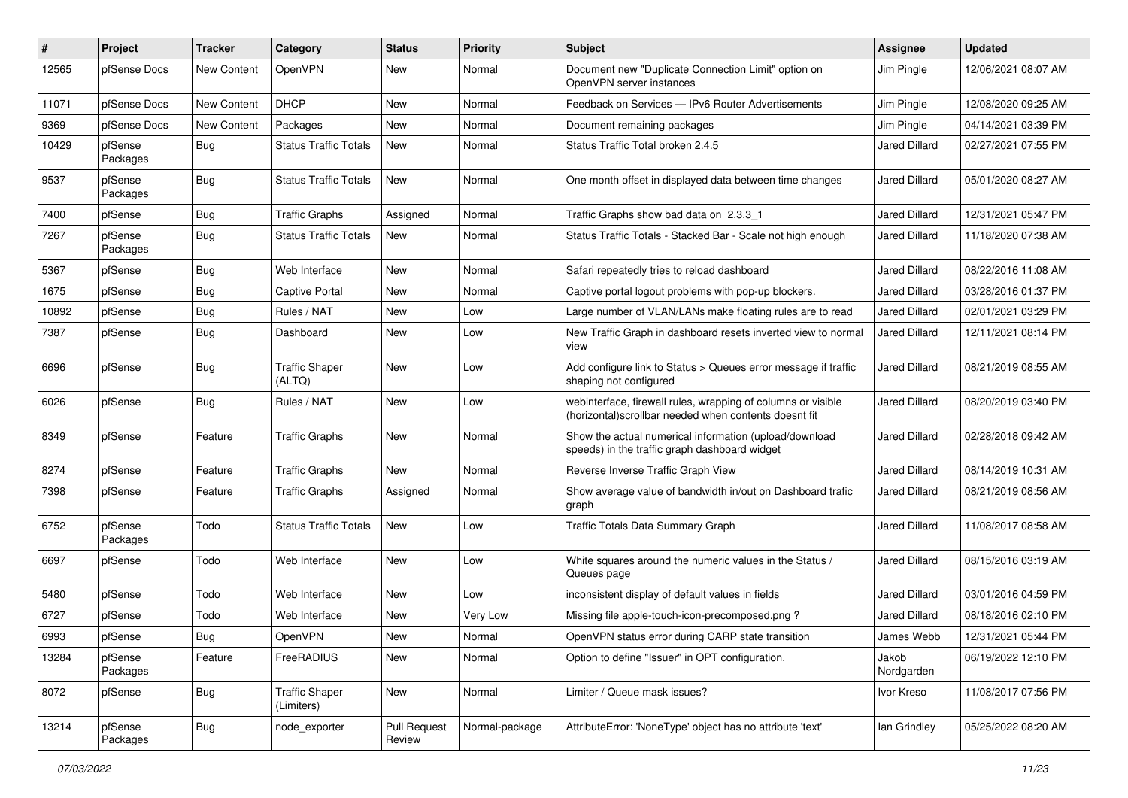| #     | Project             | <b>Tracker</b>     | Category                            | <b>Status</b>                 | <b>Priority</b> | <b>Subject</b>                                                                                                         | <b>Assignee</b>      | <b>Updated</b>      |
|-------|---------------------|--------------------|-------------------------------------|-------------------------------|-----------------|------------------------------------------------------------------------------------------------------------------------|----------------------|---------------------|
| 12565 | pfSense Docs        | New Content        | OpenVPN                             | New                           | Normal          | Document new "Duplicate Connection Limit" option on<br>OpenVPN server instances                                        | Jim Pingle           | 12/06/2021 08:07 AM |
| 11071 | pfSense Docs        | <b>New Content</b> | <b>DHCP</b>                         | New                           | Normal          | Feedback on Services - IPv6 Router Advertisements                                                                      | Jim Pingle           | 12/08/2020 09:25 AM |
| 9369  | pfSense Docs        | <b>New Content</b> | Packages                            | New                           | Normal          | Document remaining packages                                                                                            | Jim Pingle           | 04/14/2021 03:39 PM |
| 10429 | pfSense<br>Packages | Bug                | <b>Status Traffic Totals</b>        | New                           | Normal          | Status Traffic Total broken 2.4.5                                                                                      | Jared Dillard        | 02/27/2021 07:55 PM |
| 9537  | pfSense<br>Packages | Bug                | <b>Status Traffic Totals</b>        | New                           | Normal          | One month offset in displayed data between time changes                                                                | <b>Jared Dillard</b> | 05/01/2020 08:27 AM |
| 7400  | pfSense             | Bug                | <b>Traffic Graphs</b>               | Assigned                      | Normal          | Traffic Graphs show bad data on 2.3.3 1                                                                                | Jared Dillard        | 12/31/2021 05:47 PM |
| 7267  | pfSense<br>Packages | <b>Bug</b>         | <b>Status Traffic Totals</b>        | <b>New</b>                    | Normal          | Status Traffic Totals - Stacked Bar - Scale not high enough                                                            | Jared Dillard        | 11/18/2020 07:38 AM |
| 5367  | pfSense             | <b>Bug</b>         | Web Interface                       | New                           | Normal          | Safari repeatedly tries to reload dashboard                                                                            | Jared Dillard        | 08/22/2016 11:08 AM |
| 1675  | pfSense             | Bug                | <b>Captive Portal</b>               | New                           | Normal          | Captive portal logout problems with pop-up blockers.                                                                   | Jared Dillard        | 03/28/2016 01:37 PM |
| 10892 | pfSense             | <b>Bug</b>         | Rules / NAT                         | New                           | Low             | Large number of VLAN/LANs make floating rules are to read                                                              | <b>Jared Dillard</b> | 02/01/2021 03:29 PM |
| 7387  | pfSense             | Bug                | Dashboard                           | New                           | Low             | New Traffic Graph in dashboard resets inverted view to normal<br>view                                                  | <b>Jared Dillard</b> | 12/11/2021 08:14 PM |
| 6696  | pfSense             | Bug                | <b>Traffic Shaper</b><br>(ALTQ)     | New                           | Low             | Add configure link to Status > Queues error message if traffic<br>shaping not configured                               | Jared Dillard        | 08/21/2019 08:55 AM |
| 6026  | pfSense             | Bug                | Rules / NAT                         | New                           | Low             | webinterface, firewall rules, wrapping of columns or visible<br>(horizontal) scrollbar needed when contents doesnt fit | <b>Jared Dillard</b> | 08/20/2019 03:40 PM |
| 8349  | pfSense             | Feature            | Traffic Graphs                      | <b>New</b>                    | Normal          | Show the actual numerical information (upload/download<br>speeds) in the traffic graph dashboard widget                | Jared Dillard        | 02/28/2018 09:42 AM |
| 8274  | pfSense             | Feature            | <b>Traffic Graphs</b>               | <b>New</b>                    | Normal          | Reverse Inverse Traffic Graph View                                                                                     | <b>Jared Dillard</b> | 08/14/2019 10:31 AM |
| 7398  | pfSense             | Feature            | <b>Traffic Graphs</b>               | Assigned                      | Normal          | Show average value of bandwidth in/out on Dashboard trafic<br>graph                                                    | Jared Dillard        | 08/21/2019 08:56 AM |
| 6752  | pfSense<br>Packages | Todo               | <b>Status Traffic Totals</b>        | New                           | Low             | <b>Traffic Totals Data Summary Graph</b>                                                                               | Jared Dillard        | 11/08/2017 08:58 AM |
| 6697  | pfSense             | Todo               | Web Interface                       | New                           | Low             | White squares around the numeric values in the Status /<br>Queues page                                                 | Jared Dillard        | 08/15/2016 03:19 AM |
| 5480  | pfSense             | Todo               | Web Interface                       | <b>New</b>                    | Low             | inconsistent display of default values in fields                                                                       | Jared Dillard        | 03/01/2016 04:59 PM |
| 6727  | pfSense             | Todo               | Web Interface                       | New                           | Very Low        | Missing file apple-touch-icon-precomposed.png?                                                                         | Jared Dillard        | 08/18/2016 02:10 PM |
| 6993  | pfSense             | Bug                | OpenVPN                             | New                           | Normal          | OpenVPN status error during CARP state transition                                                                      | James Webb           | 12/31/2021 05:44 PM |
| 13284 | pfSense<br>Packages | Feature            | FreeRADIUS                          | New                           | Normal          | Option to define "Issuer" in OPT configuration.                                                                        | Jakob<br>Nordgarden  | 06/19/2022 12:10 PM |
| 8072  | pfSense             | <b>Bug</b>         | <b>Traffic Shaper</b><br>(Limiters) | New                           | Normal          | Limiter / Queue mask issues?                                                                                           | Ivor Kreso           | 11/08/2017 07:56 PM |
| 13214 | pfSense<br>Packages | <b>Bug</b>         | node_exporter                       | <b>Pull Request</b><br>Review | Normal-package  | AttributeError: 'NoneType' object has no attribute 'text'                                                              | lan Grindley         | 05/25/2022 08:20 AM |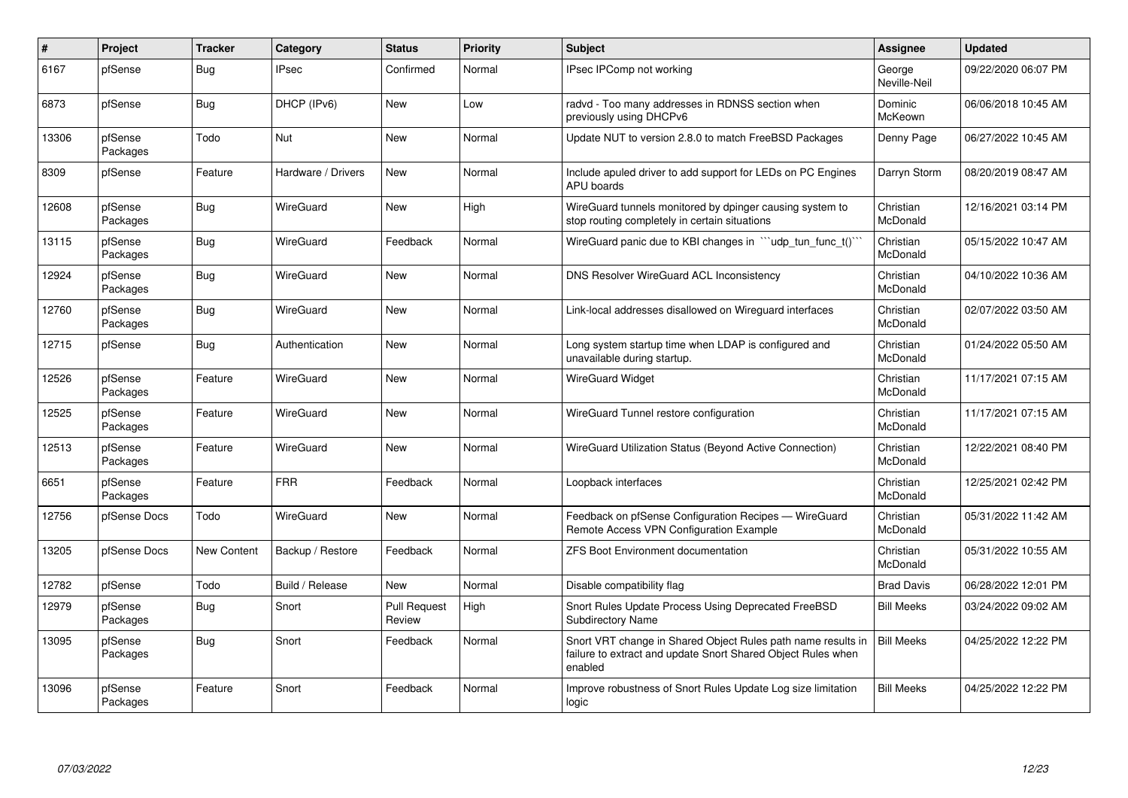| $\#$  | Project             | <b>Tracker</b>     | Category           | <b>Status</b>                 | <b>Priority</b> | <b>Subject</b>                                                                                                                          | <b>Assignee</b>        | <b>Updated</b>      |
|-------|---------------------|--------------------|--------------------|-------------------------------|-----------------|-----------------------------------------------------------------------------------------------------------------------------------------|------------------------|---------------------|
| 6167  | pfSense             | Bug                | <b>IPsec</b>       | Confirmed                     | Normal          | IPsec IPComp not working                                                                                                                | George<br>Neville-Neil | 09/22/2020 06:07 PM |
| 6873  | pfSense             | <b>Bug</b>         | DHCP (IPv6)        | <b>New</b>                    | Low             | radvd - Too many addresses in RDNSS section when<br>previously using DHCPv6                                                             | Dominic<br>McKeown     | 06/06/2018 10:45 AM |
| 13306 | pfSense<br>Packages | Todo               | Nut                | New                           | Normal          | Update NUT to version 2.8.0 to match FreeBSD Packages                                                                                   | Denny Page             | 06/27/2022 10:45 AM |
| 8309  | pfSense             | Feature            | Hardware / Drivers | New                           | Normal          | Include apuled driver to add support for LEDs on PC Engines<br><b>APU</b> boards                                                        | Darryn Storm           | 08/20/2019 08:47 AM |
| 12608 | pfSense<br>Packages | Bug                | <b>WireGuard</b>   | <b>New</b>                    | High            | WireGuard tunnels monitored by dpinger causing system to<br>stop routing completely in certain situations                               | Christian<br>McDonald  | 12/16/2021 03:14 PM |
| 13115 | pfSense<br>Packages | Bug                | WireGuard          | Feedback                      | Normal          | WireGuard panic due to KBI changes in "'udp tun func t()'"                                                                              | Christian<br>McDonald  | 05/15/2022 10:47 AM |
| 12924 | pfSense<br>Packages | Bug                | <b>WireGuard</b>   | New                           | Normal          | DNS Resolver WireGuard ACL Inconsistency                                                                                                | Christian<br>McDonald  | 04/10/2022 10:36 AM |
| 12760 | pfSense<br>Packages | <b>Bug</b>         | <b>WireGuard</b>   | New                           | Normal          | Link-local addresses disallowed on Wireguard interfaces                                                                                 | Christian<br>McDonald  | 02/07/2022 03:50 AM |
| 12715 | pfSense             | <b>Bug</b>         | Authentication     | <b>New</b>                    | Normal          | Long system startup time when LDAP is configured and<br>unavailable during startup.                                                     | Christian<br>McDonald  | 01/24/2022 05:50 AM |
| 12526 | pfSense<br>Packages | Feature            | WireGuard          | <b>New</b>                    | Normal          | <b>WireGuard Widget</b>                                                                                                                 | Christian<br>McDonald  | 11/17/2021 07:15 AM |
| 12525 | pfSense<br>Packages | Feature            | <b>WireGuard</b>   | New                           | Normal          | WireGuard Tunnel restore configuration                                                                                                  | Christian<br>McDonald  | 11/17/2021 07:15 AM |
| 12513 | pfSense<br>Packages | Feature            | <b>WireGuard</b>   | New                           | Normal          | WireGuard Utilization Status (Beyond Active Connection)                                                                                 | Christian<br>McDonald  | 12/22/2021 08:40 PM |
| 6651  | pfSense<br>Packages | Feature            | <b>FRR</b>         | Feedback                      | Normal          | Loopback interfaces                                                                                                                     | Christian<br>McDonald  | 12/25/2021 02:42 PM |
| 12756 | pfSense Docs        | Todo               | <b>WireGuard</b>   | New                           | Normal          | Feedback on pfSense Configuration Recipes - WireGuard<br>Remote Access VPN Configuration Example                                        | Christian<br>McDonald  | 05/31/2022 11:42 AM |
| 13205 | pfSense Docs        | <b>New Content</b> | Backup / Restore   | Feedback                      | Normal          | <b>ZFS Boot Environment documentation</b>                                                                                               | Christian<br>McDonald  | 05/31/2022 10:55 AM |
| 12782 | pfSense             | Todo               | Build / Release    | New                           | Normal          | Disable compatibility flag                                                                                                              | <b>Brad Davis</b>      | 06/28/2022 12:01 PM |
| 12979 | pfSense<br>Packages | Bug                | Snort              | <b>Pull Request</b><br>Review | High            | Snort Rules Update Process Using Deprecated FreeBSD<br><b>Subdirectory Name</b>                                                         | <b>Bill Meeks</b>      | 03/24/2022 09:02 AM |
| 13095 | pfSense<br>Packages | <b>Bug</b>         | Snort              | Feedback                      | Normal          | Snort VRT change in Shared Object Rules path name results in<br>failure to extract and update Snort Shared Object Rules when<br>enabled | <b>Bill Meeks</b>      | 04/25/2022 12:22 PM |
| 13096 | pfSense<br>Packages | Feature            | Snort              | Feedback                      | Normal          | Improve robustness of Snort Rules Update Log size limitation<br>logic                                                                   | <b>Bill Meeks</b>      | 04/25/2022 12:22 PM |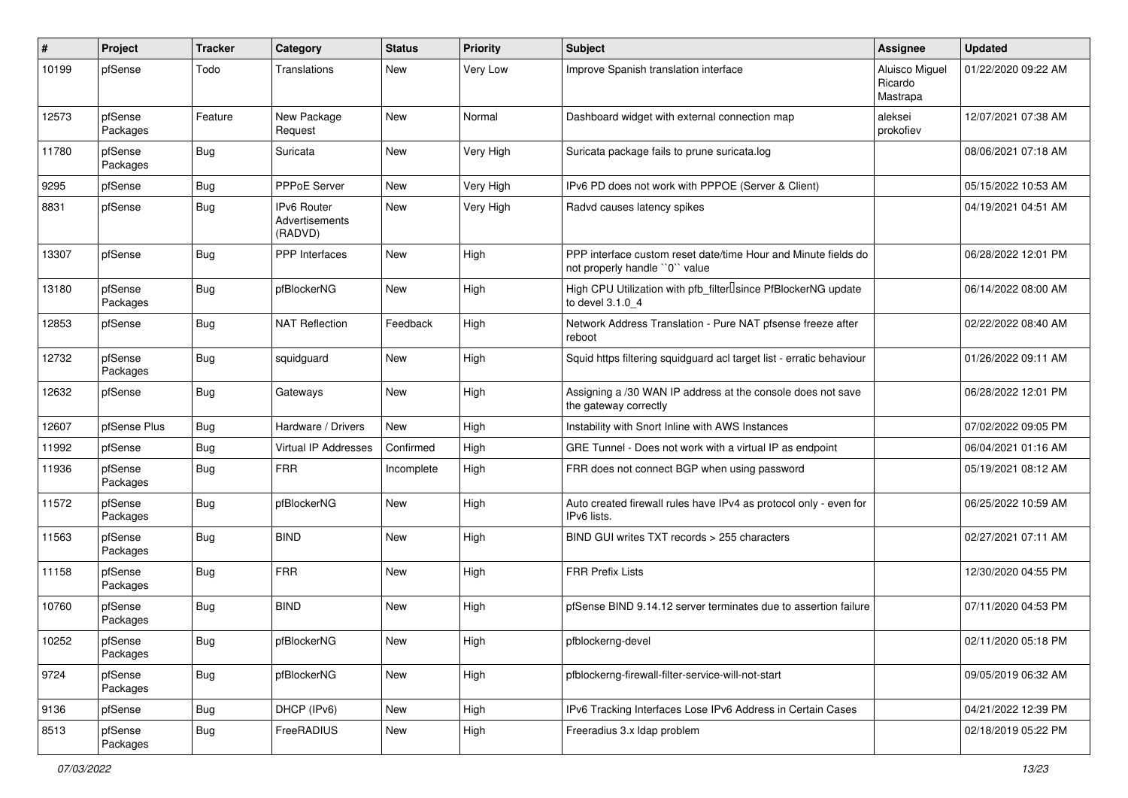| #     | Project             | <b>Tracker</b> | Category                                 | <b>Status</b> | <b>Priority</b> | Subject                                                                                         | Assignee                                     | <b>Updated</b>      |
|-------|---------------------|----------------|------------------------------------------|---------------|-----------------|-------------------------------------------------------------------------------------------------|----------------------------------------------|---------------------|
| 10199 | pfSense             | Todo           | Translations                             | New           | Very Low        | Improve Spanish translation interface                                                           | <b>Aluisco Miguel</b><br>Ricardo<br>Mastrapa | 01/22/2020 09:22 AM |
| 12573 | pfSense<br>Packages | Feature        | New Package<br>Request                   | New           | Normal          | Dashboard widget with external connection map                                                   | aleksei<br>prokofiev                         | 12/07/2021 07:38 AM |
| 11780 | pfSense<br>Packages | <b>Bug</b>     | Suricata                                 | New           | Very High       | Suricata package fails to prune suricata.log                                                    |                                              | 08/06/2021 07:18 AM |
| 9295  | pfSense             | <b>Bug</b>     | <b>PPPoE Server</b>                      | <b>New</b>    | Very High       | IPv6 PD does not work with PPPOE (Server & Client)                                              |                                              | 05/15/2022 10:53 AM |
| 8831  | pfSense             | Bug            | IPv6 Router<br>Advertisements<br>(RADVD) | New           | Very High       | Radvd causes latency spikes                                                                     |                                              | 04/19/2021 04:51 AM |
| 13307 | pfSense             | <b>Bug</b>     | <b>PPP</b> Interfaces                    | New           | High            | PPP interface custom reset date/time Hour and Minute fields do<br>not properly handle "0" value |                                              | 06/28/2022 12:01 PM |
| 13180 | pfSense<br>Packages | Bug            | pfBlockerNG                              | <b>New</b>    | High            | High CPU Utilization with pfb_filter <sup>[]</sup> since PfBlockerNG update<br>to devel 3.1.0 4 |                                              | 06/14/2022 08:00 AM |
| 12853 | pfSense             | Bug            | <b>NAT Reflection</b>                    | Feedback      | High            | Network Address Translation - Pure NAT pfsense freeze after<br>reboot                           |                                              | 02/22/2022 08:40 AM |
| 12732 | pfSense<br>Packages | <b>Bug</b>     | squidguard                               | New           | High            | Squid https filtering squidguard acl target list - erratic behaviour                            |                                              | 01/26/2022 09:11 AM |
| 12632 | pfSense             | <b>Bug</b>     | Gateways                                 | New           | High            | Assigning a /30 WAN IP address at the console does not save<br>the gateway correctly            |                                              | 06/28/2022 12:01 PM |
| 12607 | pfSense Plus        | Bug            | Hardware / Drivers                       | New           | High            | Instability with Snort Inline with AWS Instances                                                |                                              | 07/02/2022 09:05 PM |
| 11992 | pfSense             | Bug            | Virtual IP Addresses                     | Confirmed     | High            | GRE Tunnel - Does not work with a virtual IP as endpoint                                        |                                              | 06/04/2021 01:16 AM |
| 11936 | pfSense<br>Packages | Bug            | <b>FRR</b>                               | Incomplete    | High            | FRR does not connect BGP when using password                                                    |                                              | 05/19/2021 08:12 AM |
| 11572 | pfSense<br>Packages | <b>Bug</b>     | pfBlockerNG                              | New           | High            | Auto created firewall rules have IPv4 as protocol only - even for<br>IPv6 lists.                |                                              | 06/25/2022 10:59 AM |
| 11563 | pfSense<br>Packages | <b>Bug</b>     | <b>BIND</b>                              | <b>New</b>    | High            | BIND GUI writes TXT records > 255 characters                                                    |                                              | 02/27/2021 07:11 AM |
| 11158 | pfSense<br>Packages | <b>Bug</b>     | <b>FRR</b>                               | <b>New</b>    | High            | <b>FRR Prefix Lists</b>                                                                         |                                              | 12/30/2020 04:55 PM |
| 10760 | pfSense<br>Packages | Bug            | <b>BIND</b>                              | <b>New</b>    | High            | pfSense BIND 9.14.12 server terminates due to assertion failure                                 |                                              | 07/11/2020 04:53 PM |
| 10252 | pfSense<br>Packages | Bug            | pfBlockerNG                              | New           | High            | pfblockerng-devel                                                                               |                                              | 02/11/2020 05:18 PM |
| 9724  | pfSense<br>Packages | <b>Bug</b>     | pfBlockerNG                              | New           | High            | pfblockerng-firewall-filter-service-will-not-start                                              |                                              | 09/05/2019 06:32 AM |
| 9136  | pfSense             | <b>Bug</b>     | DHCP (IPv6)                              | New           | High            | IPv6 Tracking Interfaces Lose IPv6 Address in Certain Cases                                     |                                              | 04/21/2022 12:39 PM |
| 8513  | pfSense<br>Packages | <b>Bug</b>     | FreeRADIUS                               | New           | High            | Freeradius 3.x Idap problem                                                                     |                                              | 02/18/2019 05:22 PM |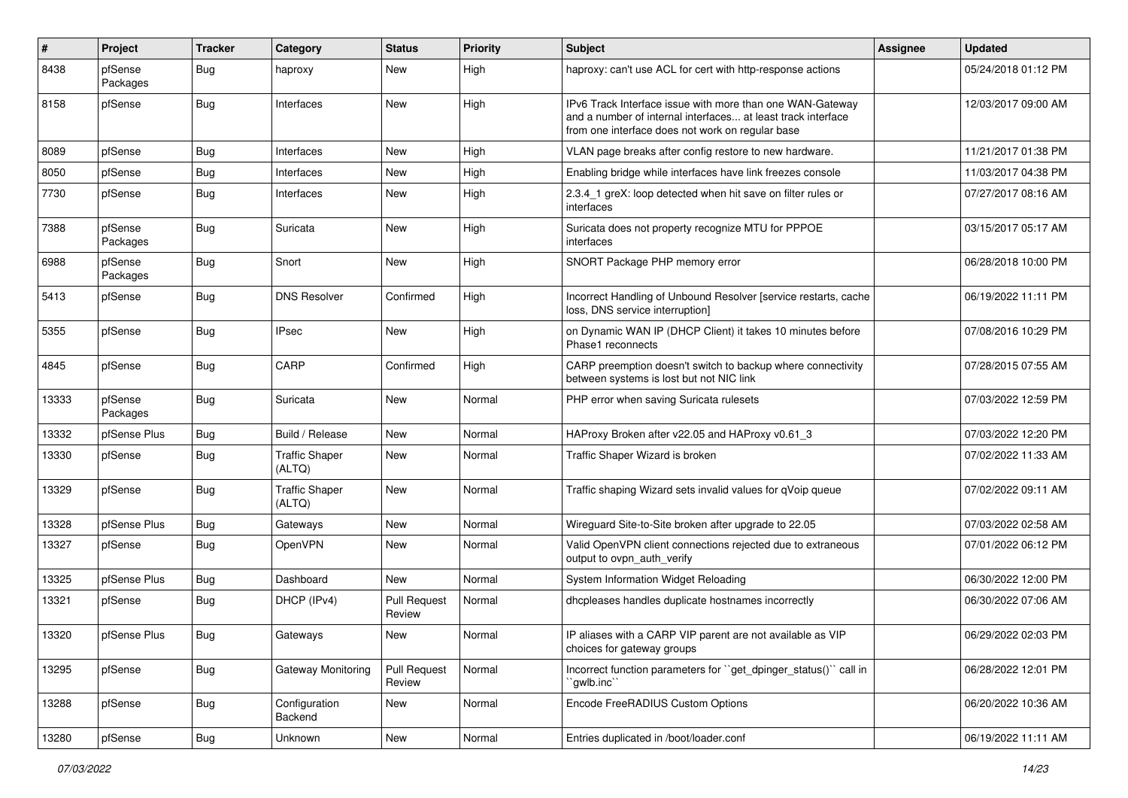| $\vert$ # | Project             | <b>Tracker</b> | Category                        | <b>Status</b>                 | <b>Priority</b> | Subject                                                                                                                                                                       | <b>Assignee</b> | <b>Updated</b>      |
|-----------|---------------------|----------------|---------------------------------|-------------------------------|-----------------|-------------------------------------------------------------------------------------------------------------------------------------------------------------------------------|-----------------|---------------------|
| 8438      | pfSense<br>Packages | <b>Bug</b>     | haproxy                         | New                           | High            | haproxy: can't use ACL for cert with http-response actions                                                                                                                    |                 | 05/24/2018 01:12 PM |
| 8158      | pfSense             | <b>Bug</b>     | Interfaces                      | New                           | High            | IPv6 Track Interface issue with more than one WAN-Gateway<br>and a number of internal interfaces at least track interface<br>from one interface does not work on regular base |                 | 12/03/2017 09:00 AM |
| 8089      | pfSense             | Bug            | Interfaces                      | New                           | High            | VLAN page breaks after config restore to new hardware.                                                                                                                        |                 | 11/21/2017 01:38 PM |
| 8050      | pfSense             | <b>Bug</b>     | Interfaces                      | New                           | High            | Enabling bridge while interfaces have link freezes console                                                                                                                    |                 | 11/03/2017 04:38 PM |
| 7730      | pfSense             | <b>Bug</b>     | Interfaces                      | New                           | High            | 2.3.4_1 greX: loop detected when hit save on filter rules or<br>interfaces                                                                                                    |                 | 07/27/2017 08:16 AM |
| 7388      | pfSense<br>Packages | Bug            | Suricata                        | New                           | High            | Suricata does not property recognize MTU for PPPOE<br>interfaces                                                                                                              |                 | 03/15/2017 05:17 AM |
| 6988      | pfSense<br>Packages | <b>Bug</b>     | Snort                           | New                           | High            | SNORT Package PHP memory error                                                                                                                                                |                 | 06/28/2018 10:00 PM |
| 5413      | pfSense             | <b>Bug</b>     | <b>DNS Resolver</b>             | Confirmed                     | High            | Incorrect Handling of Unbound Resolver [service restarts, cache<br>loss, DNS service interruption]                                                                            |                 | 06/19/2022 11:11 PM |
| 5355      | pfSense             | <b>Bug</b>     | <b>IPsec</b>                    | New                           | High            | on Dynamic WAN IP (DHCP Client) it takes 10 minutes before<br>Phase1 reconnects                                                                                               |                 | 07/08/2016 10:29 PM |
| 4845      | pfSense             | Bug            | CARP                            | Confirmed                     | High            | CARP preemption doesn't switch to backup where connectivity<br>between systems is lost but not NIC link                                                                       |                 | 07/28/2015 07:55 AM |
| 13333     | pfSense<br>Packages | <b>Bug</b>     | Suricata                        | New                           | Normal          | PHP error when saving Suricata rulesets                                                                                                                                       |                 | 07/03/2022 12:59 PM |
| 13332     | pfSense Plus        | Bug            | Build / Release                 | New                           | Normal          | HAProxy Broken after v22.05 and HAProxy v0.61_3                                                                                                                               |                 | 07/03/2022 12:20 PM |
| 13330     | pfSense             | <b>Bug</b>     | <b>Traffic Shaper</b><br>(ALTQ) | New                           | Normal          | Traffic Shaper Wizard is broken                                                                                                                                               |                 | 07/02/2022 11:33 AM |
| 13329     | pfSense             | Bug            | <b>Traffic Shaper</b><br>(ALTQ) | New                           | Normal          | Traffic shaping Wizard sets invalid values for qVoip queue                                                                                                                    |                 | 07/02/2022 09:11 AM |
| 13328     | pfSense Plus        | Bug            | Gateways                        | New                           | Normal          | Wireguard Site-to-Site broken after upgrade to 22.05                                                                                                                          |                 | 07/03/2022 02:58 AM |
| 13327     | pfSense             | <b>Bug</b>     | OpenVPN                         | New                           | Normal          | Valid OpenVPN client connections rejected due to extraneous<br>output to ovpn_auth_verify                                                                                     |                 | 07/01/2022 06:12 PM |
| 13325     | pfSense Plus        | Bug            | Dashboard                       | <b>New</b>                    | Normal          | System Information Widget Reloading                                                                                                                                           |                 | 06/30/2022 12:00 PM |
| 13321     | pfSense             | <b>Bug</b>     | DHCP (IPv4)                     | <b>Pull Request</b><br>Review | Normal          | dhcpleases handles duplicate hostnames incorrectly                                                                                                                            |                 | 06/30/2022 07:06 AM |
| 13320     | pfSense Plus        | Bug            | Gateways                        | New                           | Normal          | IP aliases with a CARP VIP parent are not available as VIP<br>choices for gateway groups                                                                                      |                 | 06/29/2022 02:03 PM |
| 13295     | pfSense             | Bug            | Gateway Monitoring              | <b>Pull Request</b><br>Review | Normal          | Incorrect function parameters for "get dpinger status()" call in<br>`qwlb.inc``                                                                                               |                 | 06/28/2022 12:01 PM |
| 13288     | pfSense             | <b>Bug</b>     | Configuration<br>Backend        | New                           | Normal          | Encode FreeRADIUS Custom Options                                                                                                                                              |                 | 06/20/2022 10:36 AM |
| 13280     | pfSense             | <b>Bug</b>     | Unknown                         | New                           | Normal          | Entries duplicated in /boot/loader.conf                                                                                                                                       |                 | 06/19/2022 11:11 AM |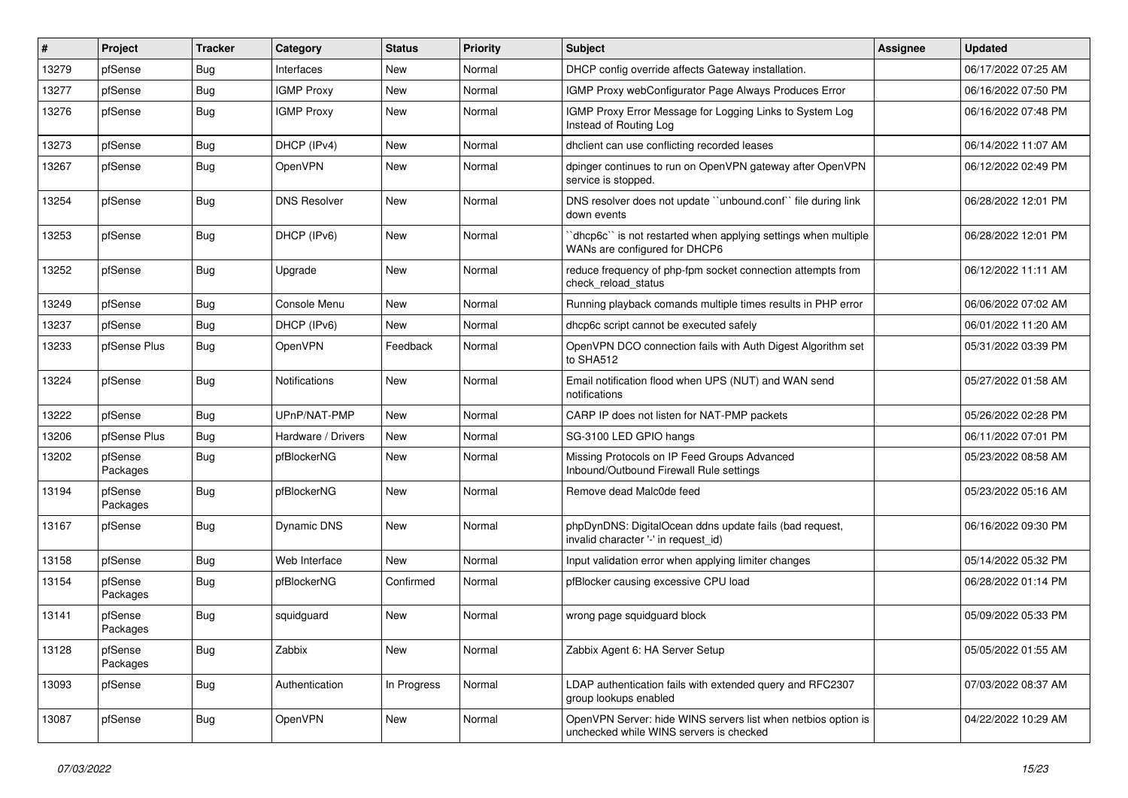| $\vert$ # | Project             | <b>Tracker</b> | Category            | <b>Status</b> | <b>Priority</b> | Subject                                                                                                  | <b>Assignee</b> | <b>Updated</b>      |
|-----------|---------------------|----------------|---------------------|---------------|-----------------|----------------------------------------------------------------------------------------------------------|-----------------|---------------------|
| 13279     | pfSense             | <b>Bug</b>     | Interfaces          | New           | Normal          | DHCP config override affects Gateway installation.                                                       |                 | 06/17/2022 07:25 AM |
| 13277     | pfSense             | Bug            | <b>IGMP Proxy</b>   | New           | Normal          | IGMP Proxy webConfigurator Page Always Produces Error                                                    |                 | 06/16/2022 07:50 PM |
| 13276     | pfSense             | Bug            | <b>IGMP Proxy</b>   | New           | Normal          | IGMP Proxy Error Message for Logging Links to System Log<br>Instead of Routing Log                       |                 | 06/16/2022 07:48 PM |
| 13273     | pfSense             | Bug            | DHCP (IPv4)         | New           | Normal          | dhclient can use conflicting recorded leases                                                             |                 | 06/14/2022 11:07 AM |
| 13267     | pfSense             | Bug            | OpenVPN             | New           | Normal          | dpinger continues to run on OpenVPN gateway after OpenVPN<br>service is stopped.                         |                 | 06/12/2022 02:49 PM |
| 13254     | pfSense             | Bug            | <b>DNS Resolver</b> | New           | Normal          | DNS resolver does not update "unbound.conf" file during link<br>down events                              |                 | 06/28/2022 12:01 PM |
| 13253     | pfSense             | <b>Bug</b>     | DHCP (IPv6)         | New           | Normal          | 'dhcp6c'' is not restarted when applying settings when multiple<br>WANs are configured for DHCP6         |                 | 06/28/2022 12:01 PM |
| 13252     | pfSense             | Bug            | Upgrade             | New           | Normal          | reduce frequency of php-fpm socket connection attempts from<br>check_reload_status                       |                 | 06/12/2022 11:11 AM |
| 13249     | pfSense             | Bug            | Console Menu        | New           | Normal          | Running playback comands multiple times results in PHP error                                             |                 | 06/06/2022 07:02 AM |
| 13237     | pfSense             | Bug            | DHCP (IPv6)         | New           | Normal          | dhcp6c script cannot be executed safely                                                                  |                 | 06/01/2022 11:20 AM |
| 13233     | pfSense Plus        | <b>Bug</b>     | OpenVPN             | Feedback      | Normal          | OpenVPN DCO connection fails with Auth Digest Algorithm set<br>to SHA512                                 |                 | 05/31/2022 03:39 PM |
| 13224     | pfSense             | <b>Bug</b>     | Notifications       | New           | Normal          | Email notification flood when UPS (NUT) and WAN send<br>notifications                                    |                 | 05/27/2022 01:58 AM |
| 13222     | pfSense             | <b>Bug</b>     | UPnP/NAT-PMP        | New           | Normal          | CARP IP does not listen for NAT-PMP packets                                                              |                 | 05/26/2022 02:28 PM |
| 13206     | pfSense Plus        | <b>Bug</b>     | Hardware / Drivers  | New           | Normal          | SG-3100 LED GPIO hangs                                                                                   |                 | 06/11/2022 07:01 PM |
| 13202     | pfSense<br>Packages | <b>Bug</b>     | pfBlockerNG         | New           | Normal          | Missing Protocols on IP Feed Groups Advanced<br>Inbound/Outbound Firewall Rule settings                  |                 | 05/23/2022 08:58 AM |
| 13194     | pfSense<br>Packages | <b>Bug</b>     | pfBlockerNG         | New           | Normal          | Remove dead Malc0de feed                                                                                 |                 | 05/23/2022 05:16 AM |
| 13167     | pfSense             | <b>Bug</b>     | Dynamic DNS         | New           | Normal          | phpDynDNS: DigitalOcean ddns update fails (bad request,<br>invalid character '-' in request_id)          |                 | 06/16/2022 09:30 PM |
| 13158     | pfSense             | <b>Bug</b>     | Web Interface       | New           | Normal          | Input validation error when applying limiter changes                                                     |                 | 05/14/2022 05:32 PM |
| 13154     | pfSense<br>Packages | <b>Bug</b>     | pfBlockerNG         | Confirmed     | Normal          | pfBlocker causing excessive CPU load                                                                     |                 | 06/28/2022 01:14 PM |
| 13141     | pfSense<br>Packages | Bug            | squidguard          | New           | Normal          | wrong page squidguard block                                                                              |                 | 05/09/2022 05:33 PM |
| 13128     | pfSense<br>Packages | <b>Bug</b>     | Zabbix              | New           | Normal          | Zabbix Agent 6: HA Server Setup                                                                          |                 | 05/05/2022 01:55 AM |
| 13093     | pfSense             | Bug            | Authentication      | In Progress   | Normal          | LDAP authentication fails with extended query and RFC2307<br>group lookups enabled                       |                 | 07/03/2022 08:37 AM |
| 13087     | pfSense             | <b>Bug</b>     | OpenVPN             | New           | Normal          | OpenVPN Server: hide WINS servers list when netbios option is<br>unchecked while WINS servers is checked |                 | 04/22/2022 10:29 AM |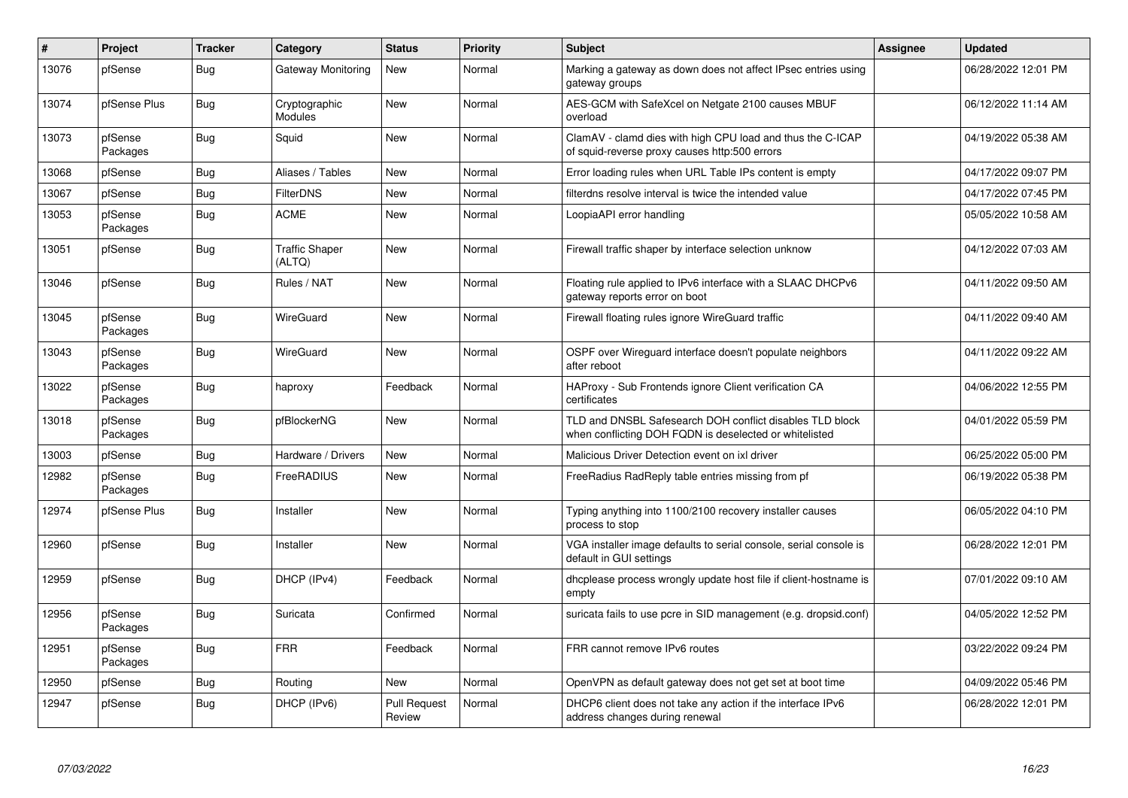| #     | Project             | <b>Tracker</b> | Category                        | <b>Status</b>                 | <b>Priority</b> | <b>Subject</b>                                                                                                     | <b>Assignee</b> | <b>Updated</b>      |
|-------|---------------------|----------------|---------------------------------|-------------------------------|-----------------|--------------------------------------------------------------------------------------------------------------------|-----------------|---------------------|
| 13076 | pfSense             | <b>Bug</b>     | Gateway Monitoring              | <b>New</b>                    | Normal          | Marking a gateway as down does not affect IPsec entries using<br>gateway groups                                    |                 | 06/28/2022 12:01 PM |
| 13074 | pfSense Plus        | Bug            | Cryptographic<br>Modules        | New                           | Normal          | AES-GCM with SafeXcel on Netgate 2100 causes MBUF<br>overload                                                      |                 | 06/12/2022 11:14 AM |
| 13073 | pfSense<br>Packages | Bug            | Squid                           | New                           | Normal          | ClamAV - clamd dies with high CPU load and thus the C-ICAP<br>of squid-reverse proxy causes http:500 errors        |                 | 04/19/2022 05:38 AM |
| 13068 | pfSense             | Bug            | Aliases / Tables                | New                           | Normal          | Error loading rules when URL Table IPs content is empty                                                            |                 | 04/17/2022 09:07 PM |
| 13067 | pfSense             | <b>Bug</b>     | <b>FilterDNS</b>                | New                           | Normal          | filterdns resolve interval is twice the intended value                                                             |                 | 04/17/2022 07:45 PM |
| 13053 | pfSense<br>Packages | Bug            | <b>ACME</b>                     | New                           | Normal          | LoopiaAPI error handling                                                                                           |                 | 05/05/2022 10:58 AM |
| 13051 | pfSense             | Bug            | <b>Traffic Shaper</b><br>(ALTQ) | New                           | Normal          | Firewall traffic shaper by interface selection unknow                                                              |                 | 04/12/2022 07:03 AM |
| 13046 | pfSense             | Bug            | Rules / NAT                     | New                           | Normal          | Floating rule applied to IPv6 interface with a SLAAC DHCPv6<br>gateway reports error on boot                       |                 | 04/11/2022 09:50 AM |
| 13045 | pfSense<br>Packages | <b>Bug</b>     | WireGuard                       | New                           | Normal          | Firewall floating rules ignore WireGuard traffic                                                                   |                 | 04/11/2022 09:40 AM |
| 13043 | pfSense<br>Packages | <b>Bug</b>     | WireGuard                       | New                           | Normal          | OSPF over Wireguard interface doesn't populate neighbors<br>after reboot                                           |                 | 04/11/2022 09:22 AM |
| 13022 | pfSense<br>Packages | <b>Bug</b>     | haproxy                         | Feedback                      | Normal          | HAProxy - Sub Frontends ignore Client verification CA<br>certificates                                              |                 | 04/06/2022 12:55 PM |
| 13018 | pfSense<br>Packages | <b>Bug</b>     | pfBlockerNG                     | New                           | Normal          | TLD and DNSBL Safesearch DOH conflict disables TLD block<br>when conflicting DOH FQDN is deselected or whitelisted |                 | 04/01/2022 05:59 PM |
| 13003 | pfSense             | Bug            | Hardware / Drivers              | <b>New</b>                    | Normal          | Malicious Driver Detection event on ixl driver                                                                     |                 | 06/25/2022 05:00 PM |
| 12982 | pfSense<br>Packages | Bug            | FreeRADIUS                      | New                           | Normal          | FreeRadius RadReply table entries missing from pf                                                                  |                 | 06/19/2022 05:38 PM |
| 12974 | pfSense Plus        | <b>Bug</b>     | Installer                       | New                           | Normal          | Typing anything into 1100/2100 recovery installer causes<br>process to stop                                        |                 | 06/05/2022 04:10 PM |
| 12960 | pfSense             | <b>Bug</b>     | Installer                       | New                           | Normal          | VGA installer image defaults to serial console, serial console is<br>default in GUI settings                       |                 | 06/28/2022 12:01 PM |
| 12959 | pfSense             | Bug            | DHCP (IPv4)                     | Feedback                      | Normal          | dhcplease process wrongly update host file if client-hostname is<br>empty                                          |                 | 07/01/2022 09:10 AM |
| 12956 | pfSense<br>Packages | Bug            | Suricata                        | Confirmed                     | Normal          | suricata fails to use pcre in SID management (e.g. dropsid.conf)                                                   |                 | 04/05/2022 12:52 PM |
| 12951 | pfSense<br>Packages | Bug            | <b>FRR</b>                      | Feedback                      | Normal          | FRR cannot remove IPv6 routes                                                                                      |                 | 03/22/2022 09:24 PM |
| 12950 | pfSense             | Bug            | Routing                         | New                           | Normal          | OpenVPN as default gateway does not get set at boot time                                                           |                 | 04/09/2022 05:46 PM |
| 12947 | pfSense             | <b>Bug</b>     | DHCP (IPv6)                     | <b>Pull Request</b><br>Review | Normal          | DHCP6 client does not take any action if the interface IPv6<br>address changes during renewal                      |                 | 06/28/2022 12:01 PM |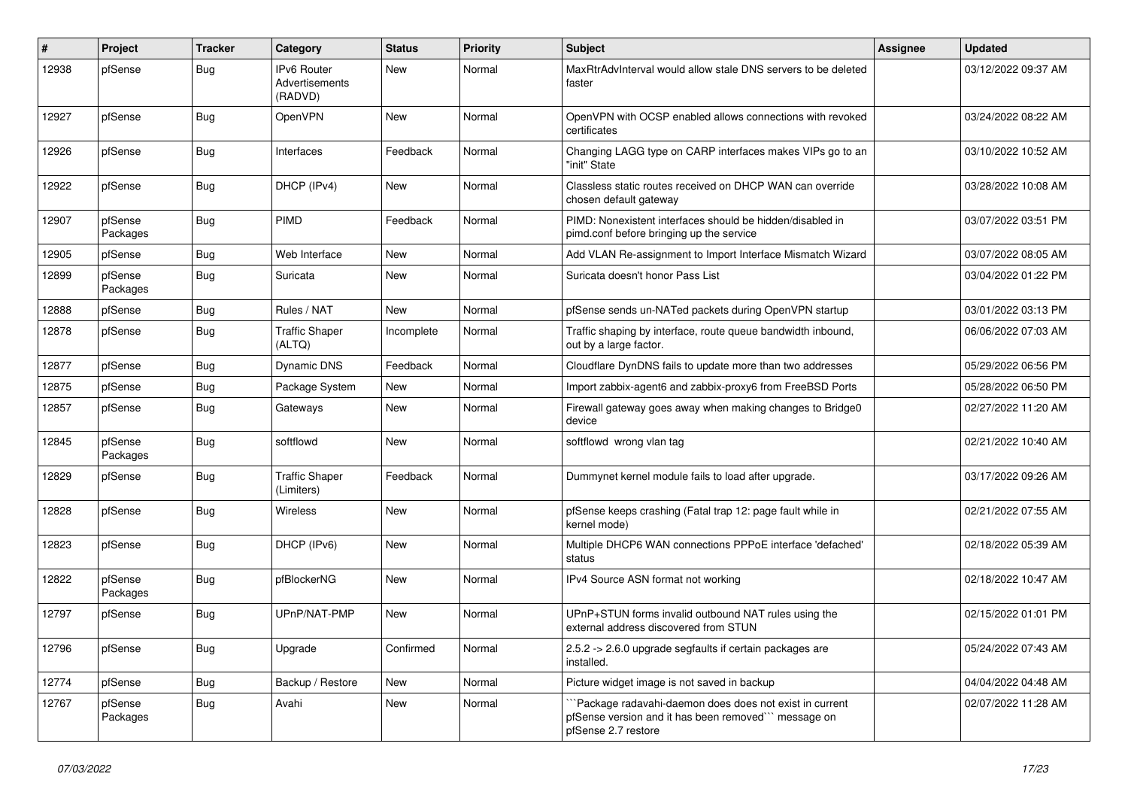| ∦     | Project             | <b>Tracker</b> | Category                                        | <b>Status</b> | <b>Priority</b> | <b>Subject</b>                                                                                                                       | <b>Assignee</b> | <b>Updated</b>      |
|-------|---------------------|----------------|-------------------------------------------------|---------------|-----------------|--------------------------------------------------------------------------------------------------------------------------------------|-----------------|---------------------|
| 12938 | pfSense             | <b>Bug</b>     | <b>IPv6 Router</b><br>Advertisements<br>(RADVD) | New           | Normal          | MaxRtrAdvInterval would allow stale DNS servers to be deleted<br>faster                                                              |                 | 03/12/2022 09:37 AM |
| 12927 | pfSense             | <b>Bug</b>     | OpenVPN                                         | <b>New</b>    | Normal          | OpenVPN with OCSP enabled allows connections with revoked<br>certificates                                                            |                 | 03/24/2022 08:22 AM |
| 12926 | pfSense             | Bug            | Interfaces                                      | Feedback      | Normal          | Changing LAGG type on CARP interfaces makes VIPs go to an<br>"init" State                                                            |                 | 03/10/2022 10:52 AM |
| 12922 | pfSense             | Bug            | DHCP (IPv4)                                     | <b>New</b>    | Normal          | Classless static routes received on DHCP WAN can override<br>chosen default gateway                                                  |                 | 03/28/2022 10:08 AM |
| 12907 | pfSense<br>Packages | Bug            | PIMD                                            | Feedback      | Normal          | PIMD: Nonexistent interfaces should be hidden/disabled in<br>pimd.conf before bringing up the service                                |                 | 03/07/2022 03:51 PM |
| 12905 | pfSense             | Bug            | Web Interface                                   | New           | Normal          | Add VLAN Re-assignment to Import Interface Mismatch Wizard                                                                           |                 | 03/07/2022 08:05 AM |
| 12899 | pfSense<br>Packages | Bug            | Suricata                                        | <b>New</b>    | Normal          | Suricata doesn't honor Pass List                                                                                                     |                 | 03/04/2022 01:22 PM |
| 12888 | pfSense             | Bug            | Rules / NAT                                     | <b>New</b>    | Normal          | pfSense sends un-NATed packets during OpenVPN startup                                                                                |                 | 03/01/2022 03:13 PM |
| 12878 | pfSense             | Bug            | <b>Traffic Shaper</b><br>(ALTQ)                 | Incomplete    | Normal          | Traffic shaping by interface, route queue bandwidth inbound,<br>out by a large factor.                                               |                 | 06/06/2022 07:03 AM |
| 12877 | pfSense             | <b>Bug</b>     | Dynamic DNS                                     | Feedback      | Normal          | Cloudflare DynDNS fails to update more than two addresses                                                                            |                 | 05/29/2022 06:56 PM |
| 12875 | pfSense             | Bug            | Package System                                  | <b>New</b>    | Normal          | Import zabbix-agent6 and zabbix-proxy6 from FreeBSD Ports                                                                            |                 | 05/28/2022 06:50 PM |
| 12857 | pfSense             | <b>Bug</b>     | Gateways                                        | New           | Normal          | Firewall gateway goes away when making changes to Bridge0<br>device                                                                  |                 | 02/27/2022 11:20 AM |
| 12845 | pfSense<br>Packages | <b>Bug</b>     | softflowd                                       | New           | Normal          | softflowd wrong vlan tag                                                                                                             |                 | 02/21/2022 10:40 AM |
| 12829 | pfSense             | Bug            | <b>Traffic Shaper</b><br>(Limiters)             | Feedback      | Normal          | Dummynet kernel module fails to load after upgrade.                                                                                  |                 | 03/17/2022 09:26 AM |
| 12828 | pfSense             | <b>Bug</b>     | <b>Wireless</b>                                 | New           | Normal          | pfSense keeps crashing (Fatal trap 12: page fault while in<br>kernel mode)                                                           |                 | 02/21/2022 07:55 AM |
| 12823 | pfSense             | <b>Bug</b>     | DHCP (IPv6)                                     | <b>New</b>    | Normal          | Multiple DHCP6 WAN connections PPPoE interface 'defached'<br>status                                                                  |                 | 02/18/2022 05:39 AM |
| 12822 | pfSense<br>Packages | <b>Bug</b>     | pfBlockerNG                                     | <b>New</b>    | Normal          | IPv4 Source ASN format not working                                                                                                   |                 | 02/18/2022 10:47 AM |
| 12797 | pfSense             | <b>Bug</b>     | UPnP/NAT-PMP                                    | New           | Normal          | UPnP+STUN forms invalid outbound NAT rules using the<br>external address discovered from STUN                                        |                 | 02/15/2022 01:01 PM |
| 12796 | pfSense             | <b>Bug</b>     | Upgrade                                         | Confirmed     | Normal          | 2.5.2 -> 2.6.0 upgrade segfaults if certain packages are<br>installed.                                                               |                 | 05/24/2022 07:43 AM |
| 12774 | pfSense             | Bug            | Backup / Restore                                | New           | Normal          | Picture widget image is not saved in backup                                                                                          |                 | 04/04/2022 04:48 AM |
| 12767 | pfSense<br>Packages | <b>Bug</b>     | Avahi                                           | New           | Normal          | Package radavahi-daemon does does not exist in current<br>pfSense version and it has been removed" message on<br>pfSense 2.7 restore |                 | 02/07/2022 11:28 AM |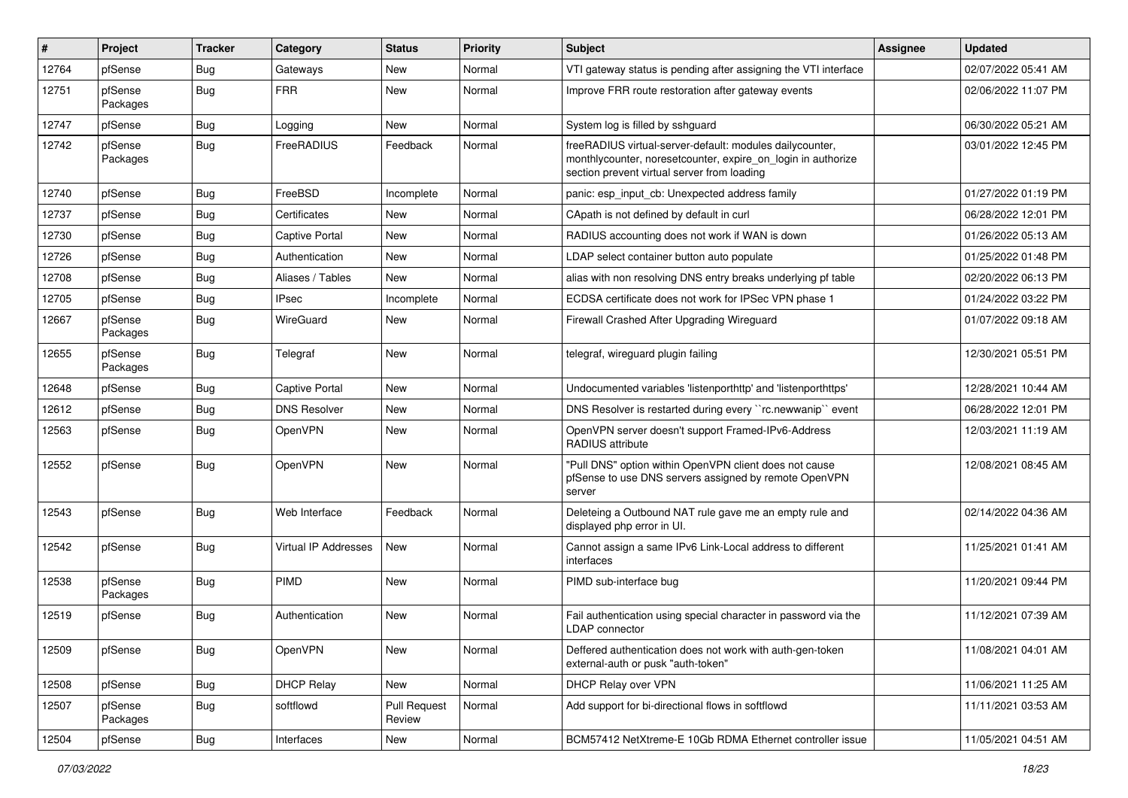| $\#$  | Project             | <b>Tracker</b> | Category              | <b>Status</b>                 | Priority | Subject                                                                                                                                                                 | <b>Assignee</b> | <b>Updated</b>      |
|-------|---------------------|----------------|-----------------------|-------------------------------|----------|-------------------------------------------------------------------------------------------------------------------------------------------------------------------------|-----------------|---------------------|
| 12764 | pfSense             | Bug            | Gateways              | New                           | Normal   | VTI gateway status is pending after assigning the VTI interface                                                                                                         |                 | 02/07/2022 05:41 AM |
| 12751 | pfSense<br>Packages | <b>Bug</b>     | <b>FRR</b>            | New                           | Normal   | Improve FRR route restoration after gateway events                                                                                                                      |                 | 02/06/2022 11:07 PM |
| 12747 | pfSense             | <b>Bug</b>     | Logging               | New                           | Normal   | System log is filled by sshguard                                                                                                                                        |                 | 06/30/2022 05:21 AM |
| 12742 | pfSense<br>Packages | Bug            | FreeRADIUS            | Feedback                      | Normal   | freeRADIUS virtual-server-default: modules dailycounter,<br>monthlycounter, noresetcounter, expire_on_login in authorize<br>section prevent virtual server from loading |                 | 03/01/2022 12:45 PM |
| 12740 | pfSense             | <b>Bug</b>     | FreeBSD               | Incomplete                    | Normal   | panic: esp_input_cb: Unexpected address family                                                                                                                          |                 | 01/27/2022 01:19 PM |
| 12737 | pfSense             | Bug            | Certificates          | New                           | Normal   | CApath is not defined by default in curl                                                                                                                                |                 | 06/28/2022 12:01 PM |
| 12730 | pfSense             | <b>Bug</b>     | <b>Captive Portal</b> | <b>New</b>                    | Normal   | RADIUS accounting does not work if WAN is down                                                                                                                          |                 | 01/26/2022 05:13 AM |
| 12726 | pfSense             | Bug            | Authentication        | New                           | Normal   | LDAP select container button auto populate                                                                                                                              |                 | 01/25/2022 01:48 PM |
| 12708 | pfSense             | <b>Bug</b>     | Aliases / Tables      | New                           | Normal   | alias with non resolving DNS entry breaks underlying pf table                                                                                                           |                 | 02/20/2022 06:13 PM |
| 12705 | pfSense             | <b>Bug</b>     | <b>IPsec</b>          | Incomplete                    | Normal   | ECDSA certificate does not work for IPSec VPN phase 1                                                                                                                   |                 | 01/24/2022 03:22 PM |
| 12667 | pfSense<br>Packages | <b>Bug</b>     | WireGuard             | New                           | Normal   | Firewall Crashed After Upgrading Wireguard                                                                                                                              |                 | 01/07/2022 09:18 AM |
| 12655 | pfSense<br>Packages | Bug            | Telegraf              | <b>New</b>                    | Normal   | telegraf, wireguard plugin failing                                                                                                                                      |                 | 12/30/2021 05:51 PM |
| 12648 | pfSense             | <b>Bug</b>     | <b>Captive Portal</b> | <b>New</b>                    | Normal   | Undocumented variables 'listenporthttp' and 'listenporthttps'                                                                                                           |                 | 12/28/2021 10:44 AM |
| 12612 | pfSense             | Bug            | <b>DNS Resolver</b>   | New                           | Normal   | DNS Resolver is restarted during every "rc.newwanip" event                                                                                                              |                 | 06/28/2022 12:01 PM |
| 12563 | pfSense             | <b>Bug</b>     | OpenVPN               | New                           | Normal   | OpenVPN server doesn't support Framed-IPv6-Address<br>RADIUS attribute                                                                                                  |                 | 12/03/2021 11:19 AM |
| 12552 | pfSense             | <b>Bug</b>     | OpenVPN               | <b>New</b>                    | Normal   | "Pull DNS" option within OpenVPN client does not cause<br>pfSense to use DNS servers assigned by remote OpenVPN<br>server                                               |                 | 12/08/2021 08:45 AM |
| 12543 | pfSense             | <b>Bug</b>     | Web Interface         | Feedback                      | Normal   | Deleteing a Outbound NAT rule gave me an empty rule and<br>displayed php error in UI.                                                                                   |                 | 02/14/2022 04:36 AM |
| 12542 | pfSense             | <b>Bug</b>     | Virtual IP Addresses  | <b>New</b>                    | Normal   | Cannot assign a same IPv6 Link-Local address to different<br>interfaces                                                                                                 |                 | 11/25/2021 01:41 AM |
| 12538 | pfSense<br>Packages | <b>Bug</b>     | PIMD                  | <b>New</b>                    | Normal   | PIMD sub-interface bug                                                                                                                                                  |                 | 11/20/2021 09:44 PM |
| 12519 | pfSense             | <b>Bug</b>     | Authentication        | <b>New</b>                    | Normal   | Fail authentication using special character in password via the<br>LDAP connector                                                                                       |                 | 11/12/2021 07:39 AM |
| 12509 | pfSense             | Bug            | OpenVPN               | New                           | Normal   | Deffered authentication does not work with auth-gen-token<br>external-auth or pusk "auth-token"                                                                         |                 | 11/08/2021 04:01 AM |
| 12508 | pfSense             | <b>Bug</b>     | <b>DHCP Relay</b>     | New                           | Normal   | DHCP Relay over VPN                                                                                                                                                     |                 | 11/06/2021 11:25 AM |
| 12507 | pfSense<br>Packages | <b>Bug</b>     | softflowd             | <b>Pull Request</b><br>Review | Normal   | Add support for bi-directional flows in softflowd                                                                                                                       |                 | 11/11/2021 03:53 AM |
| 12504 | pfSense             | Bug            | Interfaces            | New                           | Normal   | BCM57412 NetXtreme-E 10Gb RDMA Ethernet controller issue                                                                                                                |                 | 11/05/2021 04:51 AM |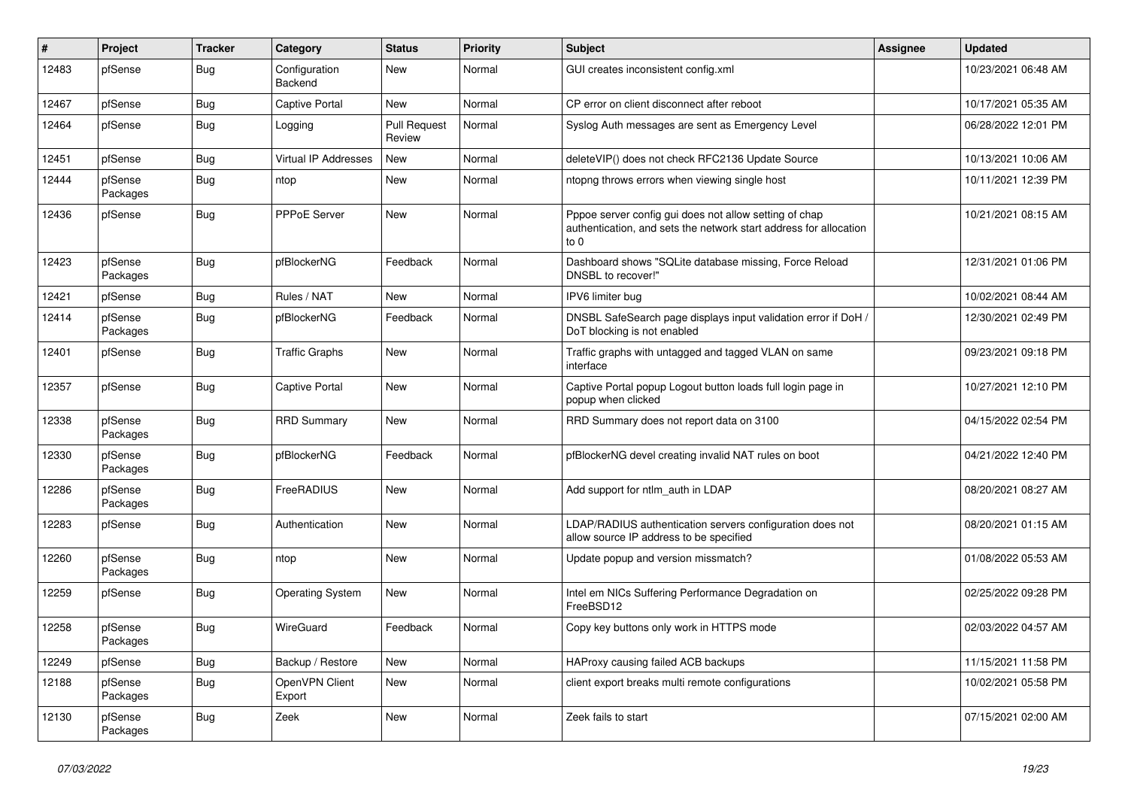| #     | Project             | <b>Tracker</b> | Category                        | <b>Status</b>                 | <b>Priority</b> | <b>Subject</b>                                                                                                                        | <b>Assignee</b> | <b>Updated</b>      |
|-------|---------------------|----------------|---------------------------------|-------------------------------|-----------------|---------------------------------------------------------------------------------------------------------------------------------------|-----------------|---------------------|
| 12483 | pfSense             | <b>Bug</b>     | Configuration<br><b>Backend</b> | New                           | Normal          | GUI creates inconsistent config.xml                                                                                                   |                 | 10/23/2021 06:48 AM |
| 12467 | pfSense             | Bug            | <b>Captive Portal</b>           | <b>New</b>                    | Normal          | CP error on client disconnect after reboot                                                                                            |                 | 10/17/2021 05:35 AM |
| 12464 | pfSense             | <b>Bug</b>     | Logging                         | <b>Pull Request</b><br>Review | Normal          | Syslog Auth messages are sent as Emergency Level                                                                                      |                 | 06/28/2022 12:01 PM |
| 12451 | pfSense             | Bug            | Virtual IP Addresses            | <b>New</b>                    | Normal          | deleteVIP() does not check RFC2136 Update Source                                                                                      |                 | 10/13/2021 10:06 AM |
| 12444 | pfSense<br>Packages | Bug            | ntop                            | <b>New</b>                    | Normal          | ntopng throws errors when viewing single host                                                                                         |                 | 10/11/2021 12:39 PM |
| 12436 | pfSense             | Bug            | PPPoE Server                    | New                           | Normal          | Pppoe server config gui does not allow setting of chap<br>authentication, and sets the network start address for allocation<br>to $0$ |                 | 10/21/2021 08:15 AM |
| 12423 | pfSense<br>Packages | <b>Bug</b>     | pfBlockerNG                     | Feedback                      | Normal          | Dashboard shows "SQLite database missing, Force Reload<br>DNSBL to recover!"                                                          |                 | 12/31/2021 01:06 PM |
| 12421 | pfSense             | Bug            | Rules / NAT                     | New                           | Normal          | IPV6 limiter bug                                                                                                                      |                 | 10/02/2021 08:44 AM |
| 12414 | pfSense<br>Packages | Bug            | pfBlockerNG                     | Feedback                      | Normal          | DNSBL SafeSearch page displays input validation error if DoH /<br>DoT blocking is not enabled                                         |                 | 12/30/2021 02:49 PM |
| 12401 | pfSense             | Bug            | Traffic Graphs                  | New                           | Normal          | Traffic graphs with untagged and tagged VLAN on same<br>interface                                                                     |                 | 09/23/2021 09:18 PM |
| 12357 | pfSense             | Bug            | <b>Captive Portal</b>           | <b>New</b>                    | Normal          | Captive Portal popup Logout button loads full login page in<br>popup when clicked                                                     |                 | 10/27/2021 12:10 PM |
| 12338 | pfSense<br>Packages | Bug            | <b>RRD Summary</b>              | New                           | Normal          | RRD Summary does not report data on 3100                                                                                              |                 | 04/15/2022 02:54 PM |
| 12330 | pfSense<br>Packages | <b>Bug</b>     | pfBlockerNG                     | Feedback                      | Normal          | pfBlockerNG devel creating invalid NAT rules on boot                                                                                  |                 | 04/21/2022 12:40 PM |
| 12286 | pfSense<br>Packages | Bug            | FreeRADIUS                      | <b>New</b>                    | Normal          | Add support for ntlm_auth in LDAP                                                                                                     |                 | 08/20/2021 08:27 AM |
| 12283 | pfSense             | Bug            | Authentication                  | New                           | Normal          | LDAP/RADIUS authentication servers configuration does not<br>allow source IP address to be specified                                  |                 | 08/20/2021 01:15 AM |
| 12260 | pfSense<br>Packages | Bug            | ntop                            | New                           | Normal          | Update popup and version missmatch?                                                                                                   |                 | 01/08/2022 05:53 AM |
| 12259 | pfSense             | <b>Bug</b>     | <b>Operating System</b>         | <b>New</b>                    | Normal          | Intel em NICs Suffering Performance Degradation on<br>FreeBSD12                                                                       |                 | 02/25/2022 09:28 PM |
| 12258 | pfSense<br>Packages | <b>Bug</b>     | WireGuard                       | Feedback                      | Normal          | Copy key buttons only work in HTTPS mode                                                                                              |                 | 02/03/2022 04:57 AM |
| 12249 | pfSense             | Bug            | Backup / Restore                | New                           | Normal          | HAProxy causing failed ACB backups                                                                                                    |                 | 11/15/2021 11:58 PM |
| 12188 | pfSense<br>Packages | Bug            | OpenVPN Client<br>Export        | New                           | Normal          | client export breaks multi remote configurations                                                                                      |                 | 10/02/2021 05:58 PM |
| 12130 | pfSense<br>Packages | Bug            | Zeek                            | <b>New</b>                    | Normal          | Zeek fails to start                                                                                                                   |                 | 07/15/2021 02:00 AM |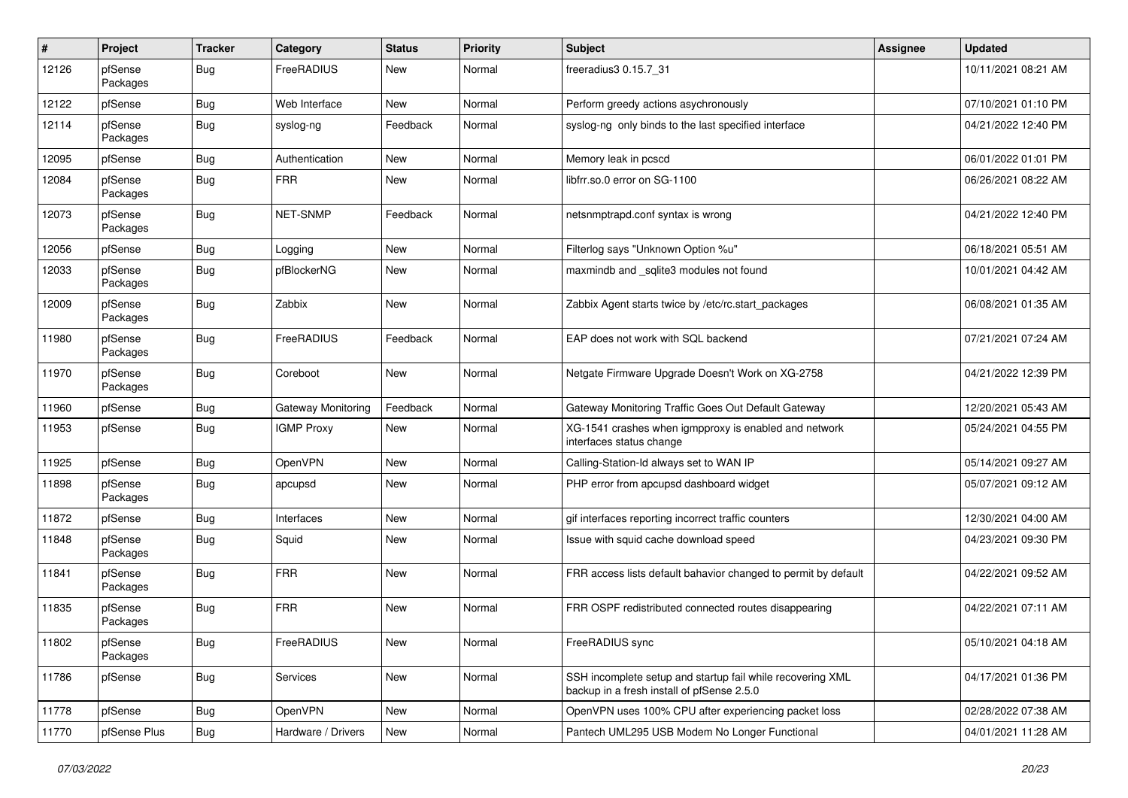| ∦     | Project             | <b>Tracker</b> | Category           | <b>Status</b> | <b>Priority</b> | Subject                                                                                                  | <b>Assignee</b> | <b>Updated</b>      |
|-------|---------------------|----------------|--------------------|---------------|-----------------|----------------------------------------------------------------------------------------------------------|-----------------|---------------------|
| 12126 | pfSense<br>Packages | <b>Bug</b>     | FreeRADIUS         | New           | Normal          | freeradius3 0.15.7_31                                                                                    |                 | 10/11/2021 08:21 AM |
| 12122 | pfSense             | <b>Bug</b>     | Web Interface      | New           | Normal          | Perform greedy actions asychronously                                                                     |                 | 07/10/2021 01:10 PM |
| 12114 | pfSense<br>Packages | Bug            | syslog-ng          | Feedback      | Normal          | syslog-ng only binds to the last specified interface                                                     |                 | 04/21/2022 12:40 PM |
| 12095 | pfSense             | <b>Bug</b>     | Authentication     | New           | Normal          | Memory leak in pcscd                                                                                     |                 | 06/01/2022 01:01 PM |
| 12084 | pfSense<br>Packages | <b>Bug</b>     | <b>FRR</b>         | New           | Normal          | libfrr.so.0 error on SG-1100                                                                             |                 | 06/26/2021 08:22 AM |
| 12073 | pfSense<br>Packages | <b>Bug</b>     | <b>NET-SNMP</b>    | Feedback      | Normal          | netsnmptrapd.conf syntax is wrong                                                                        |                 | 04/21/2022 12:40 PM |
| 12056 | pfSense             | <b>Bug</b>     | Logging            | New           | Normal          | Filterlog says "Unknown Option %u"                                                                       |                 | 06/18/2021 05:51 AM |
| 12033 | pfSense<br>Packages | Bug            | pfBlockerNG        | New           | Normal          | maxmindb and _sqlite3 modules not found                                                                  |                 | 10/01/2021 04:42 AM |
| 12009 | pfSense<br>Packages | <b>Bug</b>     | Zabbix             | New           | Normal          | Zabbix Agent starts twice by /etc/rc.start_packages                                                      |                 | 06/08/2021 01:35 AM |
| 11980 | pfSense<br>Packages | <b>Bug</b>     | FreeRADIUS         | Feedback      | Normal          | EAP does not work with SQL backend                                                                       |                 | 07/21/2021 07:24 AM |
| 11970 | pfSense<br>Packages | Bug            | Coreboot           | New           | Normal          | Netgate Firmware Upgrade Doesn't Work on XG-2758                                                         |                 | 04/21/2022 12:39 PM |
| 11960 | pfSense             | <b>Bug</b>     | Gateway Monitoring | Feedback      | Normal          | Gateway Monitoring Traffic Goes Out Default Gateway                                                      |                 | 12/20/2021 05:43 AM |
| 11953 | pfSense             | Bug            | <b>IGMP Proxy</b>  | New           | Normal          | XG-1541 crashes when igmpproxy is enabled and network<br>interfaces status change                        |                 | 05/24/2021 04:55 PM |
| 11925 | pfSense             | <b>Bug</b>     | OpenVPN            | New           | Normal          | Calling-Station-Id always set to WAN IP                                                                  |                 | 05/14/2021 09:27 AM |
| 11898 | pfSense<br>Packages | <b>Bug</b>     | apcupsd            | New           | Normal          | PHP error from apcupsd dashboard widget                                                                  |                 | 05/07/2021 09:12 AM |
| 11872 | pfSense             | <b>Bug</b>     | Interfaces         | New           | Normal          | gif interfaces reporting incorrect traffic counters                                                      |                 | 12/30/2021 04:00 AM |
| 11848 | pfSense<br>Packages | <b>Bug</b>     | Squid              | New           | Normal          | Issue with squid cache download speed                                                                    |                 | 04/23/2021 09:30 PM |
| 11841 | pfSense<br>Packages | <b>Bug</b>     | <b>FRR</b>         | New           | Normal          | FRR access lists default bahavior changed to permit by default                                           |                 | 04/22/2021 09:52 AM |
| 11835 | pfSense<br>Packages | <b>Bug</b>     | <b>FRR</b>         | New           | Normal          | FRR OSPF redistributed connected routes disappearing                                                     |                 | 04/22/2021 07:11 AM |
| 11802 | pfSense<br>Packages | <b>Bug</b>     | FreeRADIUS         | New           | Normal          | FreeRADIUS sync                                                                                          |                 | 05/10/2021 04:18 AM |
| 11786 | pfSense             | <b>Bug</b>     | Services           | New           | Normal          | SSH incomplete setup and startup fail while recovering XML<br>backup in a fresh install of pfSense 2.5.0 |                 | 04/17/2021 01:36 PM |
| 11778 | pfSense             | <b>Bug</b>     | OpenVPN            | New           | Normal          | OpenVPN uses 100% CPU after experiencing packet loss                                                     |                 | 02/28/2022 07:38 AM |
| 11770 | pfSense Plus        | <b>Bug</b>     | Hardware / Drivers | New           | Normal          | Pantech UML295 USB Modem No Longer Functional                                                            |                 | 04/01/2021 11:28 AM |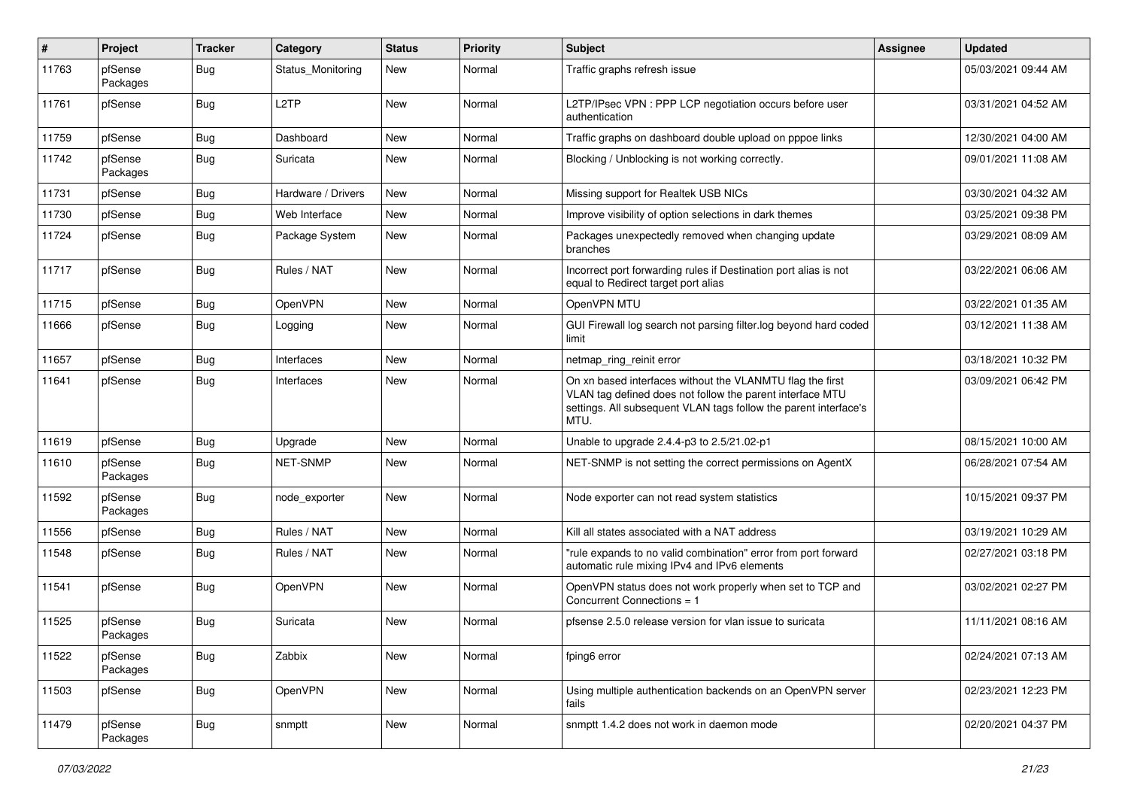| #     | Project             | <b>Tracker</b> | Category           | <b>Status</b> | <b>Priority</b> | Subject                                                                                                                                                                                            | <b>Assignee</b> | <b>Updated</b>      |
|-------|---------------------|----------------|--------------------|---------------|-----------------|----------------------------------------------------------------------------------------------------------------------------------------------------------------------------------------------------|-----------------|---------------------|
| 11763 | pfSense<br>Packages | Bug            | Status Monitoring  | New           | Normal          | Traffic graphs refresh issue                                                                                                                                                                       |                 | 05/03/2021 09:44 AM |
| 11761 | pfSense             | Bug            | L <sub>2</sub> TP  | New           | Normal          | L2TP/IPsec VPN : PPP LCP negotiation occurs before user<br>authentication                                                                                                                          |                 | 03/31/2021 04:52 AM |
| 11759 | pfSense             | Bug            | Dashboard          | New           | Normal          | Traffic graphs on dashboard double upload on pppoe links                                                                                                                                           |                 | 12/30/2021 04:00 AM |
| 11742 | pfSense<br>Packages | Bug            | Suricata           | New           | Normal          | Blocking / Unblocking is not working correctly.                                                                                                                                                    |                 | 09/01/2021 11:08 AM |
| 11731 | pfSense             | <b>Bug</b>     | Hardware / Drivers | New           | Normal          | Missing support for Realtek USB NICs                                                                                                                                                               |                 | 03/30/2021 04:32 AM |
| 11730 | pfSense             | <b>Bug</b>     | Web Interface      | New           | Normal          | Improve visibility of option selections in dark themes                                                                                                                                             |                 | 03/25/2021 09:38 PM |
| 11724 | pfSense             | <b>Bug</b>     | Package System     | New           | Normal          | Packages unexpectedly removed when changing update<br>branches                                                                                                                                     |                 | 03/29/2021 08:09 AM |
| 11717 | pfSense             | Bug            | Rules / NAT        | New           | Normal          | Incorrect port forwarding rules if Destination port alias is not<br>equal to Redirect target port alias                                                                                            |                 | 03/22/2021 06:06 AM |
| 11715 | pfSense             | <b>Bug</b>     | OpenVPN            | New           | Normal          | OpenVPN MTU                                                                                                                                                                                        |                 | 03/22/2021 01:35 AM |
| 11666 | pfSense             | <b>Bug</b>     | Logging            | New           | Normal          | GUI Firewall log search not parsing filter.log beyond hard coded<br>limit                                                                                                                          |                 | 03/12/2021 11:38 AM |
| 11657 | pfSense             | <b>Bug</b>     | Interfaces         | <b>New</b>    | Normal          | netmap ring reinit error                                                                                                                                                                           |                 | 03/18/2021 10:32 PM |
| 11641 | pfSense             | <b>Bug</b>     | Interfaces         | New           | Normal          | On xn based interfaces without the VLANMTU flag the first<br>VLAN tag defined does not follow the parent interface MTU<br>settings. All subsequent VLAN tags follow the parent interface's<br>MTU. |                 | 03/09/2021 06:42 PM |
| 11619 | pfSense             | <b>Bug</b>     | Upgrade            | New           | Normal          | Unable to upgrade 2.4.4-p3 to 2.5/21.02-p1                                                                                                                                                         |                 | 08/15/2021 10:00 AM |
| 11610 | pfSense<br>Packages | <b>Bug</b>     | <b>NET-SNMP</b>    | New           | Normal          | NET-SNMP is not setting the correct permissions on AgentX                                                                                                                                          |                 | 06/28/2021 07:54 AM |
| 11592 | pfSense<br>Packages | <b>Bug</b>     | node exporter      | New           | Normal          | Node exporter can not read system statistics                                                                                                                                                       |                 | 10/15/2021 09:37 PM |
| 11556 | pfSense             | <b>Bug</b>     | Rules / NAT        | New           | Normal          | Kill all states associated with a NAT address                                                                                                                                                      |                 | 03/19/2021 10:29 AM |
| 11548 | pfSense             | <b>Bug</b>     | Rules / NAT        | New           | Normal          | "rule expands to no valid combination" error from port forward<br>automatic rule mixing IPv4 and IPv6 elements                                                                                     |                 | 02/27/2021 03:18 PM |
| 11541 | pfSense             | Bug            | OpenVPN            | New           | Normal          | OpenVPN status does not work properly when set to TCP and<br>Concurrent Connections = 1                                                                                                            |                 | 03/02/2021 02:27 PM |
| 11525 | pfSense<br>Packages | <b>Bug</b>     | Suricata           | New           | Normal          | pfsense 2.5.0 release version for vlan issue to suricata                                                                                                                                           |                 | 11/11/2021 08:16 AM |
| 11522 | pfSense<br>Packages | <b>Bug</b>     | Zabbix             | New           | Normal          | fping6 error                                                                                                                                                                                       |                 | 02/24/2021 07:13 AM |
| 11503 | pfSense             | <b>Bug</b>     | OpenVPN            | New           | Normal          | Using multiple authentication backends on an OpenVPN server<br>fails                                                                                                                               |                 | 02/23/2021 12:23 PM |
| 11479 | pfSense<br>Packages | Bug            | snmptt             | New           | Normal          | snmptt 1.4.2 does not work in daemon mode                                                                                                                                                          |                 | 02/20/2021 04:37 PM |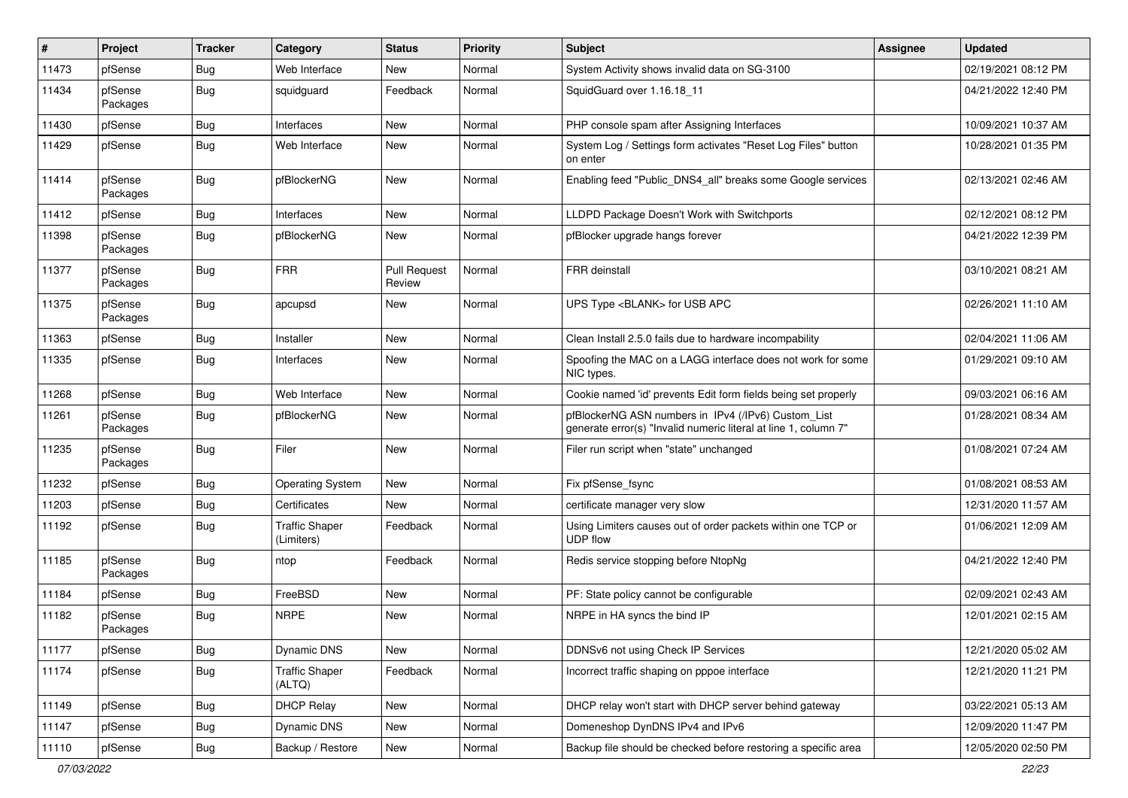| $\vert$ # | Project             | <b>Tracker</b> | Category                            | <b>Status</b>                 | <b>Priority</b> | Subject                                                                                                                | <b>Assignee</b> | <b>Updated</b>      |
|-----------|---------------------|----------------|-------------------------------------|-------------------------------|-----------------|------------------------------------------------------------------------------------------------------------------------|-----------------|---------------------|
| 11473     | pfSense             | <b>Bug</b>     | Web Interface                       | New                           | Normal          | System Activity shows invalid data on SG-3100                                                                          |                 | 02/19/2021 08:12 PM |
| 11434     | pfSense<br>Packages | <b>Bug</b>     | squidguard                          | Feedback                      | Normal          | SquidGuard over 1.16.18_11                                                                                             |                 | 04/21/2022 12:40 PM |
| 11430     | pfSense             | Bug            | Interfaces                          | New                           | Normal          | PHP console spam after Assigning Interfaces                                                                            |                 | 10/09/2021 10:37 AM |
| 11429     | pfSense             | <b>Bug</b>     | Web Interface                       | New                           | Normal          | System Log / Settings form activates "Reset Log Files" button<br>on enter                                              |                 | 10/28/2021 01:35 PM |
| 11414     | pfSense<br>Packages | Bug            | pfBlockerNG                         | New                           | Normal          | Enabling feed "Public_DNS4_all" breaks some Google services                                                            |                 | 02/13/2021 02:46 AM |
| 11412     | pfSense             | <b>Bug</b>     | Interfaces                          | <b>New</b>                    | Normal          | LLDPD Package Doesn't Work with Switchports                                                                            |                 | 02/12/2021 08:12 PM |
| 11398     | pfSense<br>Packages | <b>Bug</b>     | pfBlockerNG                         | New                           | Normal          | pfBlocker upgrade hangs forever                                                                                        |                 | 04/21/2022 12:39 PM |
| 11377     | pfSense<br>Packages | <b>Bug</b>     | <b>FRR</b>                          | <b>Pull Request</b><br>Review | Normal          | FRR deinstall                                                                                                          |                 | 03/10/2021 08:21 AM |
| 11375     | pfSense<br>Packages | <b>Bug</b>     | apcupsd                             | New                           | Normal          | UPS Type <blank> for USB APC</blank>                                                                                   |                 | 02/26/2021 11:10 AM |
| 11363     | pfSense             | <b>Bug</b>     | Installer                           | New                           | Normal          | Clean Install 2.5.0 fails due to hardware incompability                                                                |                 | 02/04/2021 11:06 AM |
| 11335     | pfSense             | Bug            | Interfaces                          | New                           | Normal          | Spoofing the MAC on a LAGG interface does not work for some<br>NIC types.                                              |                 | 01/29/2021 09:10 AM |
| 11268     | pfSense             | <b>Bug</b>     | Web Interface                       | New                           | Normal          | Cookie named 'id' prevents Edit form fields being set properly                                                         |                 | 09/03/2021 06:16 AM |
| 11261     | pfSense<br>Packages | <b>Bug</b>     | pfBlockerNG                         | New                           | Normal          | pfBlockerNG ASN numbers in IPv4 (/IPv6) Custom_List<br>generate error(s) "Invalid numeric literal at line 1, column 7" |                 | 01/28/2021 08:34 AM |
| 11235     | pfSense<br>Packages | <b>Bug</b>     | Filer                               | <b>New</b>                    | Normal          | Filer run script when "state" unchanged                                                                                |                 | 01/08/2021 07:24 AM |
| 11232     | pfSense             | <b>Bug</b>     | <b>Operating System</b>             | <b>New</b>                    | Normal          | Fix pfSense_fsync                                                                                                      |                 | 01/08/2021 08:53 AM |
| 11203     | pfSense             | Bug            | Certificates                        | New                           | Normal          | certificate manager very slow                                                                                          |                 | 12/31/2020 11:57 AM |
| 11192     | pfSense             | <b>Bug</b>     | <b>Traffic Shaper</b><br>(Limiters) | Feedback                      | Normal          | Using Limiters causes out of order packets within one TCP or<br><b>UDP flow</b>                                        |                 | 01/06/2021 12:09 AM |
| 11185     | pfSense<br>Packages | <b>Bug</b>     | ntop                                | Feedback                      | Normal          | Redis service stopping before NtopNg                                                                                   |                 | 04/21/2022 12:40 PM |
| 11184     | pfSense             | Bug            | FreeBSD                             | <b>New</b>                    | Normal          | PF: State policy cannot be configurable                                                                                |                 | 02/09/2021 02:43 AM |
| 11182     | pfSense<br>Packages | <b>Bug</b>     | <b>NRPE</b>                         | New                           | Normal          | NRPE in HA syncs the bind IP                                                                                           |                 | 12/01/2021 02:15 AM |
| 11177     | pfSense             | <b>Bug</b>     | Dynamic DNS                         | New                           | Normal          | DDNSv6 not using Check IP Services                                                                                     |                 | 12/21/2020 05:02 AM |
| 11174     | pfSense             | Bug            | <b>Traffic Shaper</b><br>(ALTQ)     | Feedback                      | Normal          | Incorrect traffic shaping on pppoe interface                                                                           |                 | 12/21/2020 11:21 PM |
| 11149     | pfSense             | <b>Bug</b>     | <b>DHCP Relay</b>                   | New                           | Normal          | DHCP relay won't start with DHCP server behind gateway                                                                 |                 | 03/22/2021 05:13 AM |
| 11147     | pfSense             | Bug            | Dynamic DNS                         | New                           | Normal          | Domeneshop DynDNS IPv4 and IPv6                                                                                        |                 | 12/09/2020 11:47 PM |
| 11110     | pfSense             | Bug            | Backup / Restore                    | New                           | Normal          | Backup file should be checked before restoring a specific area                                                         |                 | 12/05/2020 02:50 PM |